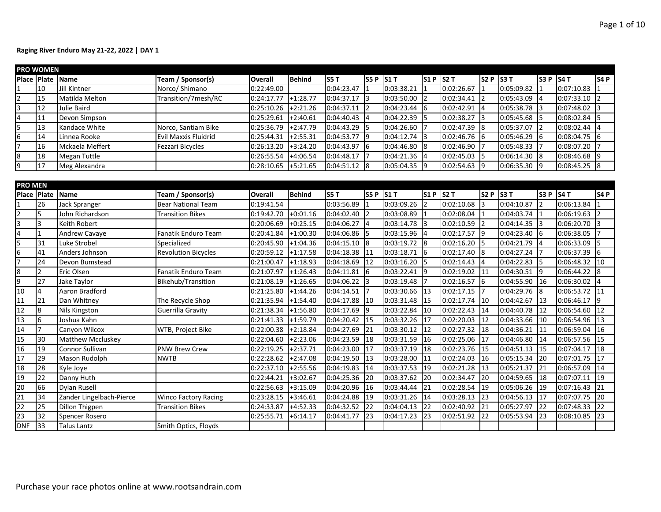|             | PRO WOMEN |                     |                      |                |               |                |         |                |      |                 |       |                 |         |                |                  |
|-------------|-----------|---------------------|----------------------|----------------|---------------|----------------|---------|----------------|------|-----------------|-------|-----------------|---------|----------------|------------------|
| Place Plate |           | <b>Name</b>         | Team / Sponsor(s)    | <b>Overall</b> | <b>Behind</b> | IS5 T          | S5P S1T |                | S1P  | S2T             | ls2 P | <b>IS3T</b>     | S3P S4T |                | S <sub>4</sub> P |
|             | 10        | Jill Kintner        | Norco/ Shimano       | 0:22:49.00     |               | 0:04:23.47     |         | 0:03:38.21     |      | 0:02:26.67      |       | 0:05:09.82      |         | 0:07:10.83     |                  |
|             | 15        | Matilda Melton      | Transition/7mesh/RC  | 0:24:17.77     | $+1:28.77$    | 0:04:37.17     |         | 0:03:50.00     |      | 0:02:34.41      |       | $0:05:43.09$ 4  |         | 0:07:33.10     |                  |
|             | 12        | Julie Baird         |                      | 0:25:10.26     | +2:21.26      | 0:04:37.11     |         | 0:04:23.44     | 16   | 0:02:42.91      |       | $0:05:38.78$ 3  |         | 0:07:48.02     |                  |
|             | 11        | Devon Simpson       |                      | 0:25:29.61     | +2:40.61      | 0:04:40.43     |         | 0:04:22.39     |      | 0:02:38.27      | 13    | $0:05:45.68$ 5  |         | 0:08:02.84     |                  |
|             | 13        | Kandace White       | Norco, Santiam Bike  | 0:25:36.79     | $+2:47.79$    | 0:04:43.29     |         | 0:04:26.60     |      | 0:02:47.39      | 18    | $0:05:37.07$ 2  |         | 0:08:02.44     |                  |
| 6.          | 14        | Linnea Rooke        | Evil Maxxis Fluidrid | 0:25:44.31     | $+2:55.31$    | 0:04:53.77     | -19     | 0:04:12.74     | 3    | $0:02:46.76$ 6  |       | $0:05:46.29$ 6  |         | $0:08:04.75$ 6 |                  |
|             | 16        | Mckaela Meffert     | Fezzari Bicycles     | 0:26:13.20     | $+3:24.20$    | 0:04:43.97     |         | 0:04:46.80     | - 18 | $0:02:46.90$  7 |       | $0:05:48.33$  7 |         | 0:08:07.20     |                  |
|             | 18        | <b>Megan Tuttle</b> |                      | 0:26:55.54     | $+4:06.54$    | 0:04:48.17     |         | $0:04:21.36$ 4 |      | 0:02:45.03      | -15   | $0:06:14.30$ 8  |         | 0:08:46.68     | 19               |
|             | 17        | Meg Alexandra       |                      | 0:28:10.65     | $+5:21.65$    | $0:04:51.12$ 8 |         | $0:05:04.35$ 9 |      | 0:02:54.63      |       | $0:06:35.30$ 9  |         | $0:08:45.25$ 8 |                  |
|             |           |                     |                      |                |               |                |         |                |      |                 |       |                 |         |                |                  |

| <b>PRO MEN</b> |    |                          |                             |                |            |             |            |              |            |            |                 |            |                |            |             |
|----------------|----|--------------------------|-----------------------------|----------------|------------|-------------|------------|--------------|------------|------------|-----------------|------------|----------------|------------|-------------|
| Place Plate    |    | <b>Name</b>              | Team / Sponsor(s)           | <b>Overall</b> | Behind     | <b>S5 T</b> | lss P      | $\vert$ S1 T | <b>S1P</b> | S2T        | S2 P S3 T       |            | ls3 P          | S4T        | <b>S4 P</b> |
|                | 26 | Jack Spranger            | <b>Bear National Team</b>   | 0:19:41.54     |            | 0:03:56.89  |            | 0:03:09.26   | 2          | 0:02:10.68 | l3              | 0:04:10.87 |                | 0:06:13.84 |             |
|                |    | John Richardson          | <b>Transition Bikes</b>     | 0:19:42.70     | $+0:01.16$ | 0:04:02.40  |            | 0:03:08.89   |            | 0:02:08.04 |                 | 0:04:03.74 |                | 0:06:19.63 |             |
| ς              | 3  | Keith Robert             |                             | 0:20:06.69     | $+0:25.15$ | 0:04:06.27  |            | 0:03:14.78   | 13         | 0:02:10.59 | 12              | 0:04:14.35 |                | 0:06:20.70 | 3           |
|                |    | Andrew Cavaye            | Fanatik Enduro Team         | 0:20:41.84     | $+1:00.30$ | 0:04:06.86  | 15         | 0:03:15.96   | 14         | 0:02:17.57 | I9              | 0:04:23.40 |                | 0:06:38.05 |             |
|                | 31 | Luke Strobel             | Specialized                 | 0:20:45.90     | $+1:04.36$ | 0:04:15.10  | 18         | 0:03:19.72   | 18         | 0:02:16.20 | I5              | 0:04:21.79 |                | 0:06:33.09 | 5           |
| 6              | 41 | Anders Johnson           | <b>Revolution Bicycles</b>  | 0:20:59.12     | $+1:17.58$ | 0:04:18.38  | 111        | 0:03:18.71   | 16         | 0:02:17.40 | l8              | 0:04:27.24 |                | 0:06:37.39 | 6           |
|                | 24 | Devon Bumstead           |                             | 0:21:00.47     | $+1:18.93$ | 0:04:18.69  | 12         | 0:03:16.20   | 15         | 0:02:14.43 | l4              | 0:04:22.83 |                | 0:06:48.32 | 10          |
| 8              |    | Eric Olsen               | Fanatik Enduro Team         | 0:21:07.97     | $+1:26.43$ | 0:04:11.81  |            | 0:03:22.41   | 19         | 0:02:19.02 | 111             | 0:04:30.51 | <b>19</b>      | 0:06:44.22 | 18          |
| 9              | 27 | Jake Taylor              | Bikehub/Transition          | 0:21:08.19     | $+1:26.65$ | 0:04:06.22  |            | 0:03:19.48   |            | 0:02:16.57 | 16              | 0:04:55.90 | <sup>116</sup> | 0:06:30.02 | 4           |
| 10             | 4  | Aaron Bradford           |                             | 0:21:25.80     | $+1:44.26$ | 0:04:14.51  |            | 0:03:30.66   | 13         | 0:02:17.15 | 17              | 0:04:29.76 |                | 0:06:53.72 | 11          |
| 11             | 21 | Dan Whitney              | The Recycle Shop            | 0:21:35.94     | $+1:54.40$ | 0:04:17.88  | 110        | 0:03:31.48   | 15         | 0:02:17.74 | 110             | 0:04:42.67 | 113            | 0:06:46.17 | <b>1</b> 9  |
| 12             | 8  | <b>Nils Kingston</b>     | Guerrilla Gravity           | 0:21:38.34     | $+1:56.80$ | 0:04:17.69  | I9         | 0:03:22.84   | 10         | 0:02:22.43 | 14              | 0:04:40.78 | 12             | 0:06:54.60 | 12          |
| 13             | 6  | Joshua Kahn              |                             | 0:21:41.33     | $+1:59.79$ | 0:04:20.42  | 115        | 0:03:32.26   | 17         | 0:02:20.03 | I12             | 0:04:33.66 | 110            | 0:06:54.96 | 13          |
| 14             |    | Canyon Wilcox            | <b>WTB, Project Bike</b>    | 0:22:00.38     | $+2:18.84$ | 0:04:27.69  | 121        | 0:03:30.12   | 12         | 0:02:27.32 | 18              | 0:04:36.21 | 111            | 0:06:59.04 | 16          |
| 15             | 30 | <b>Matthew Mccluskey</b> |                             | 0:22:04.60     | $+2:23.06$ | 0:04:23.59  | 18         | 0:03:31.59   | 16         | 0:02:25.06 | 17              | 0:04:46.80 | 14             | 0:06:57.56 | 15          |
| 16             | 19 | Connor Sullivan          | <b>PNW Brew Crew</b>        | 0:22:19.25     | $+2:37.71$ | 0:04:23.00  | 17         | 0:03:37.19   | 18         | 0:02:23.76 | 115             | 0:04:51.13 | 15             | 0:07:04.17 | 18          |
| 17             | 29 | Mason Rudolph            | <b>NWTB</b>                 | 0:22:28.62     | $+2:47.08$ | 0:04:19.50  | $\vert$ 13 | 0:03:28.00   | 11         | 0:02:24.03 | 16              | 0:05:15.34 | 120            | 0:07:01.75 | 17          |
| 18             | 28 | Kyle Joye                |                             | 0:22:37.10     | $+2:55.56$ | 0:04:19.83  | 14         | 0:03:37.53   | <b>19</b>  | 0:02:21.28 | 13              | 0:05:21.37 | I21            | 0:06:57.09 | 14          |
| 19             | 22 | Danny Huth               |                             | 0:22:44.21     | $+3:02.67$ | 0:04:25.36  | <b>20</b>  | 0:03:37.62   | 20         | 0:02:34.47 | I <sub>20</sub> | 0:04:59.65 | 18             | 0:07:07.11 | 19          |
| 20             | 66 | <b>Dylan Rusell</b>      |                             | 0:22:56.63     | $+3:15.09$ | 0:04:20.96  | 116        | 0:03:44.44   | 21         | 0:02:28.54 | I19             | 0:05:06.26 | 19             | 0:07:16.43 | 21          |
| 21             | 34 | Zander Lingelbach-Pierce | <b>Winco Factory Racing</b> | 0:23:28.15     | $+3:46.61$ | 0:04:24.88  | 19         | 0:03:31.26   | 14         | 0:03:28.13 | <b>23</b>       | 0:04:56.13 | 117            | 0:07:07.75 | 20          |
| 22             | 25 | <b>Dillon Thigpen</b>    | <b>Transition Bikes</b>     | 0:24:33.87     | $+4:52.33$ | 0:04:32.52  | 122        | 0:04:04.13   | 22         | 0:02:40.92 | 21              | 0:05:27.97 | 122            | 0:07:48.33 | 22          |
| 23             | 32 | Spencer Rosero           |                             | 0:25:55.71     | $+6:14.17$ | 0:04:41.77  | 123        | 0:04:17.23   | 23         | 0:02:51.92 | 22              | 0:05:53.94 | 123            | 0:08:10.85 | 23          |
| <b>DNF</b>     | 33 | Talus Lantz              | Smith Optics, Floyds        |                |            |             |            |              |            |            |                 |            |                |            |             |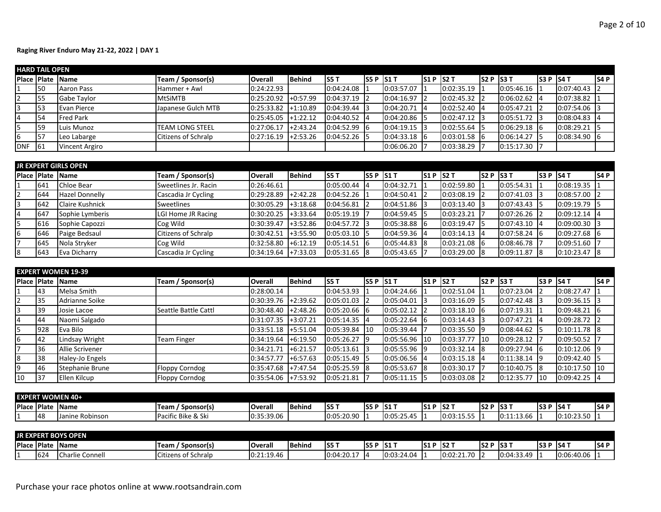|                | <b>HARD TAIL OPEN</b> |                            |                            |                       |               |            |         |            |            |                |                    |                |       |                |       |
|----------------|-----------------------|----------------------------|----------------------------|-----------------------|---------------|------------|---------|------------|------------|----------------|--------------------|----------------|-------|----------------|-------|
|                |                       | <b>IPlace IPlate IName</b> | Team / Sponsor(s)          | <b>Overall</b>        | <b>Behind</b> | <b>S5T</b> | S5P S1T |            | $S1P$ S2 T |                | <b>IS2 P IS3 T</b> |                | IS3 P | IS4 T          | IS4 P |
|                | 150                   | Aaron Pass                 | Hammer + Awl               | 0:24:22.93            |               | 0:04:24.08 |         | 0:03:57.07 |            | 0:02:35.19     |                    | $0:05:46.16$ 1 |       | 0:07:40.43     |       |
| $\overline{2}$ | 155                   | Gabe Taylor                | <b>I</b> MtSiMTB           | $0:25:20.92$ +0:57.99 |               | 0:04:37.19 |         | 0:04:16.97 |            | 0:02:45.32     |                    | $0:06:02.62$ 4 |       | 0:07:38.82     |       |
| 3              | 153                   | Evan Pierce                | Japanese Gulch MTB         | 0:25:33.82            | $+1:10.89$    | 0:04:39.44 |         | 0:04:20.71 |            | 0:02:52.40     | - 14               | $0:05:47.21$ 2 |       | $0:07:54.06$ 3 |       |
| 4              | 54                    | <b>Fred Park</b>           |                            | 0:25:45.05            | $+1:22.12$    | 0:04:40.52 |         | 0:04:20.86 |            | $0:02:47.12$ 3 |                    | $0:05:51.72$ 3 |       | 0:08:04.83     |       |
|                | <b>1</b> 59           | Luis Munoz                 | <b>ITEAM LONG STEEL</b>    | 0:27:06.17            | $+2:43.24$    | 0:04:52.99 |         | 0:04:19.15 |            | 0:02:55.64     |                    | $0:06:29.18$ 6 |       | 0:08:29.21     |       |
| 6              | <b>157</b>            | Leo Labarge                | <b>Citizens of Schralp</b> | 0:27:16.19            | $+2:53.26$    | 0:04:52.26 |         | 0:04:33.18 |            | $0:03:01.58$ 6 |                    | 0:06:14.27     |       | 0:08:34.90     |       |
| <b>DNF</b>     | -161                  | <b>Vincent Argiro</b>      |                            |                       |               |            |         | 0:06:06.20 |            | 0:03:38.29     |                    | 0:15:17.30     |       |                |       |

|    |     | <b>JR EXPERT GIRLS OPEN</b> |                      |                       |               |                |      |                |         |                |                    |                |             |                |       |
|----|-----|-----------------------------|----------------------|-----------------------|---------------|----------------|------|----------------|---------|----------------|--------------------|----------------|-------------|----------------|-------|
|    |     | <b>IPlace Plate Name</b>    | Team / Sponsor(s)    | <b>Overall</b>        | <b>Behind</b> | lS5 T          | S5P  | IS1 T          | S1P S2T |                | <b>IS2 P IS3 T</b> |                | IS3 P IS4 T |                | IS4 P |
|    | 641 | Chloe Bear                  | Sweetlines Jr. Racin | 0:26:46.61            |               | 0:05:00.44     |      | 0:04:32.71     |         | 0:02:59.80     |                    | 0:05:54.31     |             | 0:08:19.35     |       |
| 12 | 644 | <b>Hazel Donnelly</b>       | Cascadia Jr Cycling  | 0:29:28.89            | $+2:42.28$    | 0:04:52.26     |      | 0:04:50.41     |         | $0:03:08.19$ 2 |                    | 0:07:41.03     |             | 0:08:57.00     |       |
| l3 | 642 | <b>Claire Kushnick</b>      | Sweetlines           | 0:30:05.29            | $+3:18.68$    | 0:04:56.81     |      | $0:04:51.86$ 3 |         | $0:03:13.40$ 3 |                    | 0:07:43.43     |             | $0:09:19.79$ 5 |       |
| I4 | 647 | Sophie Lymberis             | LGI Home JR Racing   | 0:30:20.25            | $+3:33.64$    | 0:05:19.19     |      | $0:04:59.45$ 5 |         | 0:03:23.21     |                    | 0:07:26.26     |             | 0:09:12.14     |       |
| l5 | 616 | Sophie Capozzi              | Cog Wild             | 0:30:39.47            | $+3:52.86$    | 0:04:57.72     |      | $0:05:38.88$ 6 |         | 0:03:19.47     |                    | 0:07:43.10     |             | 0:09:00.30     |       |
| I6 | 646 | Paige Bedsaul               | Citizens of Schralp  | 0:30:42.51            | $1+3:55.90$   | 0:05:03.10     |      | 0:04:59.36     |         | $0:03:14.13$ 4 |                    | 0:07:58.24     |             | 0:09:27.68     |       |
|    | 645 | Nola Stryker                | Cog Wild             | 0:32:58.80            | $+6:12.19$    | 0:05:14.51     | - 16 | 0:05:44.83     | 18      | $0:03:21.08$ 6 |                    | 0:08:46.78     |             | 0:09:51.60     |       |
| l8 | 643 | Eva Dicharry                | Cascadia Jr Cycling  | $0:34:19.64$ +7:33.03 |               | $0:05:31.65$ 8 |      | 0:05:43.65     |         | $0:03:29.00$ 8 |                    | $0:09:11.87$ 8 |             | 0:10:23.47     |       |

|                |     | <b>EXPERT WOMEN 19-39</b> |                       |                |            |            |            |            |            |                |            |                |                 |                 |      |
|----------------|-----|---------------------------|-----------------------|----------------|------------|------------|------------|------------|------------|----------------|------------|----------------|-----------------|-----------------|------|
|                |     | Place Plate Name          | Team / Sponsor(s)     | <b>Overall</b> | Behind     | <b>S5T</b> | IS5 PIS1 T |            | $S1P$ S2 T |                | ls2 P      | <b>IS3T</b>    | ls3 P           | <b>IS4T</b>     | S4 P |
|                | 43  | Melsa Smith               |                       | 0:28:00.14     |            | 0:04:53.93 |            | 0:04:24.66 |            | 0:02:51.04     |            | $0:07:23.04$ 2 |                 | 0:08:27.47      |      |
|                | 35  | Adrianne Soike            |                       | 0:30:39.76     | $+2:39.62$ | 0:05:01.03 |            | 0:05:04.01 |            | 0:03:16.09     | - 15       | $0:07:42.48$ 3 |                 | 0:09:36.15      |      |
| $\overline{3}$ | 139 | Josie Lacoe               | Seattle Battle Cattl  | 0:30:48.40     | $+2:48.26$ | 0:05:20.66 |            | 0:05:02.12 |            | $0:03:18.10$ 6 |            | 0:07:19.31     |                 | 0:09:48.21      |      |
| 4              | 44  | Naomi Salgado             |                       | 0:31:07.35     | $+3:07.21$ | 0:05:14.35 |            | 0:05:22.64 |            | $0:03:14.43$ 3 |            | $0:07:47.21$ 4 |                 | 0:09:28.72      |      |
| 5              | 928 | Eva Bilo                  |                       | 0:33:51.18     | +5:51.04   | 0:05:39.84 | 110        | 0:05:39.44 |            | $0:03:35.50$ 9 |            | 0:08:44.62     |                 | 0:10:11.78      |      |
| 6              | 42  | Lindsay Wright            | <b>Team Finger</b>    | 0:34:19.64     | $+6:19.50$ | 0:05:26.27 |            | 0:05:56.96 | 110        | 0:03:37.77     | <b>110</b> | 0:09:28.12     |                 | 0:09:50.52      |      |
|                | 36  | <b>Allie Scrivener</b>    |                       | 0:34:21.71     | $+6:21.57$ | 0:05:13.61 |            | 0:05:55.96 |            | 0:03:32.14     | -18        | $0:09:27.94$ 6 |                 | $0:10:12.06$ 9  |      |
| 8              | 38  | Haley-Jo Engels           |                       | 0:34:57.77     | $+6:57.63$ | 0:05:15.49 |            | 0:05:06.56 |            | $0:03:15.18$ 4 |            | $0:11:38.14$ 9 |                 | 0:09:42.40      |      |
| 9              | 46  | Stephanie Brune           | Floppy Corndog        | 0:35:47.68     | $+7:47.54$ | 0:05:25.59 |            | 0:05:53.67 |            | 0:03:30.17     |            | $0:10:40.75$ 8 |                 | $0:10:17.50$ 10 |      |
| 10             | 137 | Ellen Kilcup              | <b>Floppy Corndog</b> | 0:35:54.06     | $+7:53.92$ | 0:05:21.81 |            | 0:05:11.15 |            | 0:03:03.08     |            | 0:12:35.77     | $\overline{10}$ | 0:09:42.25      |      |

|                    |    | <b>EXPERT WOMEN 40+</b> |                               |               |                 |            |              |                                   |            |            |             |                                   |            |             |       |
|--------------------|----|-------------------------|-------------------------------|---------------|-----------------|------------|--------------|-----------------------------------|------------|------------|-------------|-----------------------------------|------------|-------------|-------|
| <b>Place Plate</b> |    | <b>Name</b>             | Sponsor(s)<br>Team            | <b>Overal</b> | <b>I</b> Behind | IS5 T      | <b>IS5 F</b> | - IS1 <sup>-</sup>                | $SIP$ S2 T |            | <b>IS2P</b> | $\overline{ }$ IS3 $\overline{ }$ | <b>S3P</b> | <b>IS41</b> | IS4 P |
|                    | 48 | Janine Robinson         | Bike & Ski<br><b>IPacific</b> | 0:35:39.06    |                 | 0:05:20.90 |              | 0:05:25.4<br>$\overline{a}$<br>Δ. |            | 0:03:15.55 |             | 0.44.42 C<br>.                    |            | 0:10:23.50  | -11   |

|             |     | <b>JR EXPERT BOYS OPEN</b> |                     |                |                |                 |              |            |    |            |                 |                                  |     |             |       |
|-------------|-----|----------------------------|---------------------|----------------|----------------|-----------------|--------------|------------|----|------------|-----------------|----------------------------------|-----|-------------|-------|
| Place Plate |     | <b>Name</b>                | Sponsor(s)<br>Team  | <b>Overall</b> | <b>IBehind</b> | IS5 T           | SSF<br>D     | - IS1 1    | S1 | IS2 T      | IS <sub>2</sub> | . P  S3 <sup>-</sup>             | S3P | <b>IS47</b> | IS4 P |
|             | 624 | Charl.<br><b>Connel</b>    | Citizens of Schralp | 0:21:19.46     |                | $0:04:20.1^{-}$ | $\mathbf{A}$ | 0:03:24.04 |    | 0:02:21.70 | -               | 0:04:33.<br>$\sqrt{2}$<br>-53.4۳ |     | 0:06:40.06  |       |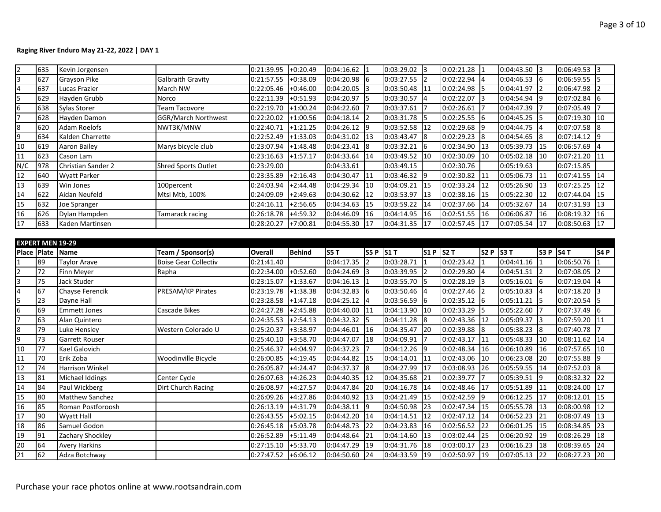| 2                       | 635      | Kevin Jorgensen         |                             | 0:21:39.95     | $+0:20.49$ | $0:04:16.62$ 1                |           | $0:03:29.02$ 3 |                | $0:02:21.28$ 1              |                  | $0:04:43.50$ 3                |                 | 0:06:49.53 3 |                 |
|-------------------------|----------|-------------------------|-----------------------------|----------------|------------|-------------------------------|-----------|----------------|----------------|-----------------------------|------------------|-------------------------------|-----------------|--------------|-----------------|
| $\overline{3}$          | 627      | Grayson Pike            | <b>Galbraith Gravity</b>    | 0:21:57.55     | $+0.38.09$ | 0:04:20.98                    | I6        | 0:03:27.55     | $\overline{2}$ | $0:02:22.94$ 4              |                  | $0:04:46.53$ 6                |                 | 0:06:59.55   | l5              |
| $\overline{\mathbf{4}}$ | 637      | Lucas Frazier           | March NW                    | 0:22:05.46     | $+0:46.00$ | 0:04:20.05                    | l3        | 0:03:50.48     | 11             | 0:02:24.98                  | 15               | 0:04:41.97                    | $\mathsf{I2}$   | 0:06:47.98   |                 |
| 5                       | 629      | Hayden Grubb            | Norco                       | 0:22:11.39     | $+0:51.93$ | 0:04:20.97                    | 15        | 0:03:30.57     |                | 0:02:22.07                  | $\overline{13}$  | 0:04:54.94 9                  |                 | 0:07:02.84   | 6               |
| 6                       | 638      | Sylas Storer            | <b>Team Tacovore</b>        | 0:22:19.70     | $+1:00.24$ | 0:04:22.60                    |           | 0:03:37.61     |                | 0:02:26.61                  |                  | 0:04:47.39                    |                 | 0:07:05.49   |                 |
| 7                       | 628      | Hayden Damon            | <b>GGR/March Northwest</b>  | 0:22:20.02     | $+1:00.56$ | 0:04:18.14                    |           | 0:03:31.78     | 5              | 0:02:25.55                  | -16              | 0:04:45.25                    | 15              | 0:07:19.30   | 10              |
| 8                       | 620      | <b>Adam Roelofs</b>     | NWT3K/MNW                   | 0:22:40.71     | $+1:21.25$ | 0:04:26.12                    | l9        | 0:03:52.58     | 12             | 0:02:29.68                  | <b>19</b>        | 0:04:44.75                    |                 | 0:07:07.58   | l8              |
| 9                       | 634      | Kalden Charrette        |                             | 0:22:52.49     | $+1:33.03$ | 0:04:31.02                    | 13        | 0:03:43.47     | l8             | 0:02:29.23                  | $\overline{8}$   | 0:04:54.65                    | $\overline{8}$  | 0:07:14.12   | l9              |
| 10                      | 619      | Aaron Bailey            | Marys bicycle club          | 0:23:07.94     | $+1:48.48$ | 0:04:23.41                    | l8        | 0:03:32.21     | 6              | 0:02:34.90                  | 13               | 0:05:39.73                    | 115             | 0:06:57.69   | $\overline{4}$  |
| 11                      | 623      | Cason Lam               |                             | 0:23:16.63     | $+1:57.17$ | 0:04:33.64                    | 14        | 0:03:49.52     | 10             | 0:02:30.09                  | $ 10\rangle$     | $0:05:02.18$ 10               |                 | 0:07:21.20   | 11              |
| N/C                     | 978      | Christian Sander 2      | <b>Shred Sports Outlet</b>  | 0:23:29.00     |            | 0:04:33.61                    |           | 0:03:49.15     |                | 0:02:30.76                  |                  | 0:05:19.63                    |                 | 0:07:15.85   |                 |
| 12                      | 640      | <b>Wyatt Parker</b>     |                             | 0:23:35.89     | $+2:16.43$ | 0:04:30.47                    | 11        | 0:03:46.32     | 19             | 0:02:30.82                  | 11               | 0:05:06.73                    | 111             | 0:07:41.55   | 14              |
| 13                      | 639      | Win Jones               | 100percent                  | 0:24:03.94     | $+2:44.48$ | 0:04:29.34                    | 10        | 0:04:09.21     | 15             | 0:02:33.24                  | 12               | 0:05:26.90                    | $\vert$ 13      | 0:07:25.25   | 12              |
| 14                      | 622      | Aidan Neufeld           | Mtsi Mtb, 100%              | 0:24:09.09     | $+2:49.63$ | 0:04:30.62                    | 112       | 0:03:53.97     | 13             | $0:02:38.16$ 15             |                  | 0:05:22.30                    | 12 <sup>2</sup> | 0:07:44.04   | 15              |
| 15                      | 632      | Joe Spranger            |                             | 0:24:16.11     | $+2:56.65$ | 0:04:34.63                    | 15        | 0:03:59.22     | 14             | 0:02:37.66 14               |                  | 0:05:32.67                    | 14              | 0:07:31.93   | 13              |
| 16                      | 626      | Dylan Hampden           | Tamarack racing             | 0:26:18.78     | $+4:59.32$ | 0:04:46.09                    | 116       | 0:04:14.95     | 16             | 0:02:51.55                  | 16               | 0:06:06.87                    | 116             | 0:08:19.32   | 16              |
| 17                      | 633      | Kaden Martinsen         |                             | 0:28:20.27     | $+7:00.81$ | 0:04:55.30                    | 17        | 0:04:31.35     | 17             | 0:02:57.45                  | 17               | 0:07:05.54                    | 117             | 0:08:50.63   | 17              |
|                         |          |                         |                             |                |            |                               |           |                |                |                             |                  |                               |                 |              |                 |
|                         |          | <b>EXPERT MEN 19-29</b> |                             |                |            |                               |           |                |                |                             |                  |                               |                 |              |                 |
|                         |          | Place Plate Name        | Team / Sponsor(s)           | <b>Overall</b> | Behind     | S5 T                          | S5 P S1 T |                | S1 P S2 T      |                             | S <sub>2</sub> P | $ $ S3 T                      | S3 P   S4 T     |              | S4 <sub>P</sub> |
|                         |          |                         |                             |                |            |                               |           |                |                |                             |                  |                               |                 |              |                 |
|                         | 89       | <b>Taylor Arave</b>     | <b>Boise Gear Collectiv</b> | 0:21:41.40     |            | 0:04:17.35                    |           | 0:03:28.71     | $\mathbf{1}$   | 0:02:23.42                  |                  | 0:04:41.16                    |                 | 0:06:50.76   |                 |
| $\overline{2}$          | 72       | Finn Meyer              | Rapha                       | 0:22:34.00     | $+0:52.60$ | 0:04:24.69                    |           | 0:03:39.95     | $\overline{2}$ | 0:02:29.80                  | $\overline{14}$  | 0:04:51.51                    | $\vert$ 2       | 0:07:08.05   |                 |
| 3                       | 75       | Jack Studer             |                             | 0:23:15.07     | $+1:33.67$ | 0:04:16.13                    | 11        | 0:03:55.70     | 5              | 0:02:28.19                  | $\overline{13}$  | 0:05:16.01                    | <b>1</b> 6      | 0:07:19.04   | 14              |
| $\overline{\mathbf{4}}$ | 67       | Chayse Ferencik         | PRESAM/KP Pirates           | 0:23:19.78     | $+1:38.38$ | 0:04:32.83                    | 16        | 0:03:50.46     | $\overline{4}$ | 0:02:27.46                  | 12               | 0:05:10.83                    | I <sub>4</sub>  | 0:07:18.20   | 3               |
| 5                       | 23       | Dayne Hall              |                             | 0:23:28.58     | $+1:47.18$ | 0:04:25.12                    | l4        | 0:03:56.59     | 6              | $0:02:35.12$ 6              |                  | 0:05:11.21                    | 15              | 0:07:20.54   |                 |
| 6                       | 69       | <b>Emmett Jones</b>     | Cascade Bikes               | 0:24:27.28     | $+2:45.88$ | 0:04:40.00                    | 11        | 0:04:13.90     | 10             | 0:02:33.29                  | 15               | 0:05:22.60                    |                 | 0:07:37.49   | 6               |
| 7                       | 63       | Alan Quintero           |                             | 0:24:35.53     | $+2:54.13$ | 0:04:32.32                    | 5         | 0:04:11.28     | 8              | 0:02:43.36                  | 12               | 0:05:09.37                    | 13              | 0:07:59.20   | 11              |
| 8                       | 79       | Luke Hensley            | Western Colorado U          | 0:25:20.37     | $+3:38.97$ | 0:04:46.01                    | 16        | 0:04:35.47     | 20             | 0:02:39.88                  |                  | $0:05:38.23$ 8                |                 | 0:07:40.78   |                 |
| $\overline{9}$          | 73       | Garrett Rouser          |                             | 0:25:40.10     | $+3:58.70$ | 0:04:47.07                    | 18        | 0:04:09.91     | 7              | 0:02:43.17 11               |                  | 0:05:48.33                    | $\mathbf{I}$ 10 | 0:08:11.62   | 14              |
| 10                      | 77       | Kael Galovich           |                             | 0:25:46.37     | $+4:04.97$ | 0:04:37.23                    |           | 0:04:12.26     | 9              | 0:02:48.34                  | 116              | 0:06:10.89                    | I16             | 0:07:57.65   | 10              |
| 11                      | 70       | Erik Zoba               | Woodinville Bicycle         | 0:26:00.85     | $+4:19.45$ | 0:04:44.82                    | 15        | 0:04:14.01     | 11             | 0:02:43.06                  | 10               | 0:06:23.08                    | 20              | 0:07:55.88   | q               |
| 12                      | 74       | <b>Harrison Winkel</b>  |                             | 0:26:05.87     | $+4:24.47$ | 0:04:37.37                    | l8        | 0:04:27.99     | 17             | 0:03:08.93                  | 126              | 0:05:59.55                    | 14              | 0:07:52.03   | $\sqrt{8}$      |
| 13                      | 81       | Michael Iddings         | Center Cycle                | 0:26:07.63     | $+4:26.23$ | 0:04:40.35                    | 12        | 0:04:35.68     | 21             | 0:02:39.77                  | 17               | 0:05:39.51                    | l9              | 0:08:32.32   | 22              |
| 14                      | 84       | Paul Wickberg           | Dirt Church Racing          | 0:26:08.97     | $+4:27.57$ | 0:04:47.84                    | I20       | 0:04:16.78     | 14             | 0:02:48.46                  | 117              | 0:05:51.89                    | $\mathbf{I}$    | 0:08:24.00   | 17              |
| 15                      | 80       | Matthew Sanchez         |                             | 0:26:09.26     | $+4:27.86$ | 0:04:40.92                    | 13        | 0:04:21.49     | 15             | 0:02:42.59 9                |                  | 0:06:12.25 17                 |                 | 0:08:12.01   | 15              |
| 16                      | 85       | Roman Postforoosh       |                             | 0:26:13.19     | $+4:31.79$ | 0:04:38.11                    | l9        | 0:04:50.98     | 23             | 0:02:47.34                  | 15               | 0:05:55.78                    | $\vert$ 13      | 0:08:00.98   | 12              |
| 17                      | 90       | Wyatt Hall              |                             | 0:26:43.55     | $+5:02.15$ | 0:04:42.20                    | 14        | 0:04:14.51     | 12             | 0:02:47.12                  | 14               | 0:06:52.23                    | 21              | 0:08:07.49   | 13              |
| 18                      | 86       | Samuel Godon            |                             | 0:26:45.18     | $+5:03.78$ | 0:04:48.73                    | 22        | 0:04:23.83     | 16             | 0:02:56.52                  | 22               | 0:06:01.25                    | $\vert$ 15      | 0:08:34.85   | 23              |
| 19                      | 91       | Zachary Shockley        |                             | 0:26:52.89     | $+5:11.49$ | 0:04:48.64                    | 21        | 0:04:14.60     | 13             | 0:03:02.44                  | 125              | 0:06:20.92                    | $\vert$ 19      | 0:08:26.29   | 18              |
| 20<br>21                | 64<br>62 | <b>Avery Harkins</b>    |                             | 0:27:15.10     | $+5:33.70$ | 0:04:47.29<br>$0:04:50.60$ 24 | 19        | 0:04:31.76     | 18             | 0:03:00.17<br>0:02:50.97 19 | 23               | 0:06:16.23<br>$0:07:05.13$ 22 | 128             | 0:08:39.65   | 24              |

Purchase your race photos online at www.rootsandrain.com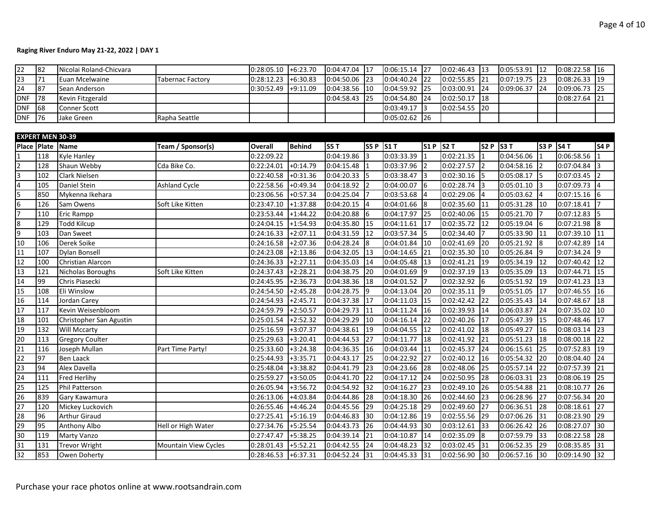| 22                      | 82                      | Nicolai Roland-Chicvara |                             | 0:28:05.10              | $+6:23.70$ | 0:04:47.04      | 17             | 0:06:15.14 | 127            | $0:02:46.43$ 13 |                                   | $0:05:53.91$ 12 |                            | 0:08:22.58 | 16             |
|-------------------------|-------------------------|-------------------------|-----------------------------|-------------------------|------------|-----------------|----------------|------------|----------------|-----------------|-----------------------------------|-----------------|----------------------------|------------|----------------|
| $\overline{23}$         | 71                      | Euan Mcelwaine          | <b>Tabernac Factory</b>     | 0:28:12.23              | $+6:30.83$ | 0:04:50.06      | 23             | 0:04:40.24 | 22             | 0:02:55.85      | $\overline{21}$                   | 0:07:19.75      | $\vert$ 23                 | 0:08:26.33 | 19             |
| $\overline{24}$         | 87                      | Sean Anderson           |                             | 0:30:52.49              | $+9:11.09$ | 0:04:38.56      | 10             | 0:04:59.92 | 25             | 0:03:00.91      | 24                                | 0:09:06.37      | 24                         | 0:09:06.73 | 25             |
| <b>DNF</b>              | 78                      | Kevin Fitzgerald        |                             |                         |            | 0:04:58.43      | 25             | 0:04:54.80 | 24             | 0:02:50.17      | 18                                |                 |                            | 0:08:27.64 | 21             |
| <b>DNF</b>              | 68                      | Conner Scott            |                             |                         |            |                 |                | 0:03:49.17 | 3              | 0:02:54.55      | 20                                |                 |                            |            |                |
| <b>DNF</b>              | 76                      | Jake Green              | Rapha Seattle               |                         |            |                 |                | 0:05:02.62 | 26             |                 |                                   |                 |                            |            |                |
|                         |                         |                         |                             |                         |            |                 |                |            |                |                 |                                   |                 |                            |            |                |
|                         | <b>EXPERT MEN 30-39</b> |                         |                             |                         |            |                 |                |            |                |                 |                                   |                 |                            |            |                |
| Place                   | Plate Name              |                         | Team / Sponsor(s)           | <b>Overall</b>          | Behind     | <b>S5 T</b>     | S5 P S1 T      |            | S1 P S2 T      |                 | S2P                               | S3T             | S3 P   S4 T                |            | <b>S4 P</b>    |
|                         | 118                     | <b>Kyle Hanley</b>      |                             | 0:22:09.22              |            | 0:04:19.86      |                | 0:03:33.39 |                | 0:02:21.35      |                                   | 0:04:56.06      |                            | 0:06:58.56 |                |
| $\overline{2}$          | 128                     | Shaun Webby             | Cda Bike Co.                | 0:22:24.01              | $+0:14.79$ | 0:04:15.48      |                | 0:03:37.96 | $\overline{2}$ | 0:02:27.57      | $\vert$ 2                         | 0:04:58.16      |                            | 0:07:04.84 |                |
| 3                       | 102                     | Clark Nielsen           |                             | 0:22:40.58              | $+0:31.36$ | 0:04:20.33      | I5.            | 0:03:38.47 | 3              | 0:02:30.16      | 15                                | $0:05:08.17$ 5  |                            | 0:07:03.45 |                |
| $\overline{\mathbf{4}}$ | 105                     | <b>Daniel Stein</b>     | Ashland Cycle               | 0:22:58.56              | $+0:49.34$ | 0:04:18.92      |                | 0:04:00.07 | 6              | 0:02:28.74      | 13                                | 0:05:01.10      | 13                         | 0:07:09.73 | $\overline{4}$ |
| 5                       | 850                     | Mykenna Ikehara         |                             | 0:23:06.56              | $+0:57.34$ | 0:04:25.04      |                | 0:03:53.68 | 4              | 0:02:29.06      | $\overline{a}$                    | 0:05:03.62      | 14                         | 0:07:15.16 | 6              |
| 6                       | 126                     | Sam Owens               | Soft Like Kitten            | 0:23:47.10              | $+1:37.88$ | 0:04:20.15      | $\overline{4}$ | 0:04:01.66 | 8              | 0:02:35.60      | 11                                | 0:05:31.28      | 110                        | 0:07:18.41 |                |
| $\overline{7}$          | 110                     | <b>Eric Rampp</b>       |                             | 0:23:53.44              | $+1:44.22$ | 0:04:20.88      | 6              | 0:04:17.97 | 25             | 0:02:40.06      | 15                                | 0:05:21.70      |                            | 0:07:12.83 |                |
| 8                       | 129                     | <b>Todd Kilcup</b>      |                             | 0:24:04.15              | $+1:54.93$ | 0:04:35.80      | 15             | 0:04:11.61 | 17             | 0:02:35.72      | 12                                | $0:05:19.04$ 6  |                            | 0:07:21.98 | 8              |
| 9                       | 103                     | Dan Sweet               |                             | 0:24:16.33              | $+2:07.11$ | 0:04:31.59      | 12             | 0:03:57.34 | 5              | 0:02:34.40      | 17                                | 0:05:33.90      | 111                        | 0:07:39.10 | 11             |
| 10                      | 106                     | Derek Soike             |                             | $0:24:16.\overline{58}$ | $+2:07.36$ | 0:04:28.24      | 8              | 0:04:01.84 | 10             | 0:02:41.69      | 20                                | 0:05:21.92      | l8                         | 0:07:42.89 | 14             |
| 11                      | 107                     | Dylan Bonsell           |                             | 0:24:23.08              | $+2:13.86$ | 0:04:32.05      | 13             | 0:04:14.65 | 21             | 0:02:35.30      | $ 10\rangle$                      | 0:05:26.84      | <b>1</b> 9                 | 0:07:34.24 | 9              |
| 12                      | 100                     | Christian Alarcon       |                             | 0:24:36.33              | $+2:27.11$ | 0:04:35.03      | 14             | 0:04:05.48 | 13             | 0:02:41.21      | 119                               | 0:05:34.19      | 12                         | 0:07:40.42 | 12             |
| 13                      | 121                     | Nicholas Boroughs       | Soft Like Kitten            | 0:24:37.43              | $+2:28.21$ | 0:04:38.75      | 20             | 0:04:01.69 | 9              | 0:02:37.19      | 13                                | 0:05:35.09      | 13                         | 0:07:44.71 | 15             |
| 14                      | 99                      | Chris Piasecki          |                             | 0:24:45.95              | $+2:36.73$ | 0:04:38.36      | 18             | 0:04:01.52 | $\overline{7}$ | 0:02:32.92      | <b>1</b> 6                        | 0:05:51.92      | I19                        | 0:07:41.23 | 13             |
| 15                      | 108                     | Eli Winslow             |                             | 0:24:54.50              | $+2:45.28$ | 0:04:28.75      | $\overline{9}$ | 0:04:13.04 | 20             | 0:02:35.11      | $\vert$ 9                         | 0:05:51.05      | I17                        | 0:07:46.55 | 16             |
| 16                      | 114                     | Jordan Carey            |                             | 0:24:54.93              | $+2:45.71$ | 0:04:37.38      | 17             | 0:04:11.03 | 15             | 0:02:42.42      | 22                                | 0:05:35.43      | 14                         | 0:07:48.67 | 18             |
| 17                      | 117                     | Kevin Weisenbloom       |                             | 0:24:59.79              | $+2:50.57$ | 0:04:29.73      | 11             | 0:04:11.24 | 16             | 0:02:39.93      | 14                                | 0:06:03.87      | 24                         | 0:07:35.02 | 10             |
| 18                      | 101                     | Christopher San Agustin |                             | 0:25:01.54              | $+2:52.32$ | 0:04:29.29      | 10             | 0:04:16.14 | 22             | 0:02:40.26      | 117                               | 0:05:47.39      | I15                        | 0:07:48.46 | 17             |
| 19                      | 132                     | <b>Will Mccarty</b>     |                             | 0:25:16.59              | $+3:07.37$ | 0:04:38.61      | 19             | 0:04:04.55 | 12             | 0:02:41.02      | 128                               | 0:05:49.27      | <sup>16</sup>              | 0:08:03.14 | 23             |
| 20                      | 113                     | <b>Gregory Coulter</b>  |                             | 0:25:29.63              | $+3:20.41$ | 0:04:44.53      | 27             | 0:04:11.77 | 18             | 0:02:41.92      | 121                               | 0:05:51.23      | 18                         | 0:08:00.18 | 22             |
| 21                      | 116                     | Joseph Mullan           | Part Time Party!            | 0:25:33.60              | $+3:24.38$ | 0:04:36.35      | 16             | 0:04:03.44 | 11             | 0:02:45.37      | 24                                | 0:06:15.61      | 25                         | 0:07:52.83 | 19             |
| $\overline{22}$         | 97                      | <b>Ben Laack</b>        |                             | 0:25:44.93              | $+3:35.71$ | 0:04:43.17      | 25             | 0:04:22.92 | 27             | 0:02:40.12      | 16                                | 0:05:54.32 20   |                            | 0:08:04.40 | 24             |
| $\overline{23}$         | 94                      | Alex Davella            |                             | 0:25:48.04              | $+3:38.82$ | 0:04:41.79      | 23             | 0:04:23.66 | 28             | 0:02:48.06      | 25                                | 0:05:57.14      | 22                         | 0:07:57.39 | 21             |
| 24                      | 111                     | Fred Herlihy            |                             | 0:25:59.27              | $+3:50.05$ | 0:04:41.70      | 22             | 0:04:17.12 | 24             | 0:02:50.95      | 128                               | 0:06:03.31      | <b>l</b> 23                | 0:08:06.19 | 25             |
| 25                      | 125                     | <b>Phil Patterson</b>   |                             | 0:26:05.94              | $+3:56.72$ | 0:04:54.92      | 32             | 0:04:16.27 | 23             | 0:02:49.10      | 26                                | 0:05:54.88      | 21                         | 0:08:10.77 | 26             |
| 26                      | 839                     | Gary Kawamura           |                             | 0:26:13.06              | $+4:03.84$ | 0:04:44.86      | 28             | 0:04:18.30 | 26             | 0:02:44.60      | 23                                | 0:06:28.96      | 127                        | 0:07:56.34 | 20             |
| $\overline{27}$         | 120                     | Mickey Luckovich        |                             | 0:26:55.46              | $+4:46.24$ | 0:04:45.56      | 29             | 0:04:25.18 | 29             | 0:02:49.60      | 27                                | 0:06:36.51      | 28                         | 0:08:18.61 | 27             |
| 28                      | 96                      | <b>Arthur Giraud</b>    |                             | 0:27:25.41              | $+5:16.19$ | 0:04:46.83      | 130            | 0:04:12.86 | 19             | 0:02:55.56      | 29                                | 0:07:06.26      | 31                         | 0:08:23.90 | 29             |
| 29                      | 95                      | Anthony Albo            | Hell or High Water          | 0:27:34.76              | $+5:25.54$ | 0:04:43.73      | 26             | 0:04:44.93 | 30             | 0:03:12.61      | $\begin{array}{c} 33 \end{array}$ | 0:06:26.42      | 26                         | 0:08:27.07 | 30             |
| 30                      | 119                     | <b>Marty Vanzo</b>      |                             | 0:27:47.47              | $+5:38.25$ | 0:04:39.14      | 21             | 0:04:10.87 | 14             | 0:02:35.09      | $\overline{8}$                    | 0:07:59.79      | $\mathsf{I}$ <sub>33</sub> | 0:08:22.58 | 28             |
| 31                      | 131                     | <b>Trevor Wright</b>    | <b>Mountain View Cycles</b> | 0:28:01.43              | $+5:52.21$ | 0:04:42.55      | 124            | 0:04:48.23 | 32             | 0:03:02.45      | 31                                | 0:06:52.35      | 29                         | 0:08:35.85 | 31             |
| 32                      | 853                     | Owen Doherty            |                             | $0:28:46.53$ +6:37.31   |            | $0:04:52.24$ 31 |                | 0:04:45.33 | 31             | $0:02:56.90$ 30 |                                   | 0:06:57.16 30   |                            | 0:09:14.90 | 32             |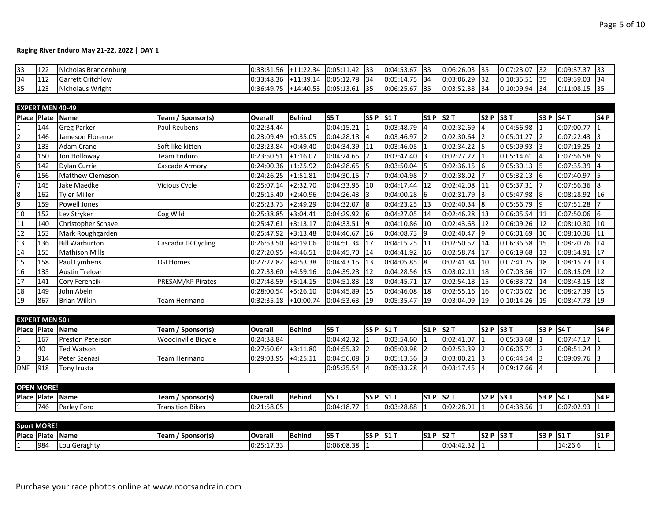| 33  | 122        | Nicholas Brandenburg     | $\vert 0.33.31.56 \vert +11.22.34 \vert$ | ⊦ 10:05:11.42 I33 | $10:04:53.67$ 133 |       | $0:06:26.03$ 35 | 0:07:23.07 32 |       | 0:09:37.37        |  |
|-----|------------|--------------------------|------------------------------------------|-------------------|-------------------|-------|-----------------|---------------|-------|-------------------|--|
| 134 | <b>112</b> | <b>Garrett Critchlow</b> | $\vert 0.33.48.36 \vert +11.39.14 \vert$ | ↓ 0:05:12.78 134  | $0:05:14.75$ 34   |       | $0:03:06.29$ 32 | 0:10:35.51    | - 135 | $10:09:39.03$ 134 |  |
| 35  | 123        | Nicholaus Wright         | $0:36:49.75$ +14:40.53                   | $0:05:13.61$ 35   | 0:06:25.67        | - 135 | $0:03:52.38$ 34 | 0:10:09.94    | -134  | $10:11:08.15$ 135 |  |

| <b>EXPERT MEN 40-49</b> |     |                       |                          |                |             |             |           |            |                 |             |           |                 |       |                 |              |
|-------------------------|-----|-----------------------|--------------------------|----------------|-------------|-------------|-----------|------------|-----------------|-------------|-----------|-----------------|-------|-----------------|--------------|
| Place Plate             |     | <b>Name</b>           | Team / Sponsor(s)        | <b>Overall</b> | Behind      | <b>S5 T</b> | S5 P S1 T |            | S1P             | <b>S2 T</b> | S2 P S3 T |                 | lS3 P | S4T             | S4P          |
|                         | 144 | <b>Greg Parker</b>    | Paul Reubens             | 0:22:34.44     |             | 0:04:15.21  |           | 0:03:48.79 | 14              | 0:02:32.69  | 14        | 0:04:56.98      |       | 0:07:00.77      |              |
| $\overline{2}$          | 146 | Jameson Florence      |                          | 0:23:09.49     | $+0.35.05$  | 0:04:28.18  | 14        | 0:03:46.97 | $\overline{12}$ | 0:02:30.64  | <b>2</b>  | 0:05:01.27      |       | 0:07:22.43      |              |
| 3                       | 133 | Adam Crane            | Soft like kitten         | 0:23:23.84     | $+0.49.40$  | 0:04:34.39  | 111       | 0:03:46.05 |                 | 0:02:34.22  | I5        | $0:05:09.93$ 3  |       | 0:07:19.25      |              |
| $\overline{4}$          | 150 | Jon Holloway          | Team Enduro              | 0:23:50.51     | $+1:16.07$  | 0:04:24.65  |           | 0:03:47.40 |                 | 0:02:27.27  |           | 0:05:14.61      |       | $0:07:56.58$ 9  |              |
| $\overline{5}$          | 142 | <b>Dylan Currie</b>   | Cascade Armory           | 0:24:00.36     | $+1:25.92$  | 0:04:28.65  |           | 0:03:50.04 | 15              | 0:02:36.15  | 16        | $0:05:30.13$ 5  |       | 0:07:35.39      | 4            |
| $\boldsymbol{6}$        | 156 | Matthew Clemeson      |                          | 0:24:26.25     | $+1:51.81$  | 0:04:30.15  |           | 0:04:04.98 |                 | 0:02:38.02  |           | 0:05:32.13      | - 16  | 0:07:40.97      | 5            |
| $\overline{7}$          | 145 | Jake Maedke           | Vicious Cycle            | 0:25:07.14     | +2:32.70    | 0:04:33.95  | 110       | 0:04:17.44 | 12              | 0:02:42.08  | 111       | 0:05:37.31      |       | 0:07:56.36 8    |              |
| $\overline{8}$          | 162 | <b>Tyler Miller</b>   |                          | 0:25:15.40     | +2:40.96    | 0:04:26.43  |           | 0:04:00.28 | 16              | 0:02:31.79  | 13        | $0:05:47.98$ 8  |       | 0:08:28.92      | 16           |
| $\overline{9}$          | 159 | <b>Powell Jones</b>   |                          | 0:25:23.73     | +2:49.29    | 0:04:32.07  | 18        | 0:04:23.25 | 13              | 0:02:40.34  | 18        | 0:05:56.79      |       | 0:07:51.28      |              |
| 10                      | 152 | Lev Stryker           | Cog Wild                 | 0:25:38.85     | $+3:04.41$  | 0:04:29.92  | 16        | 0:04:27.05 | 14              | 0:02:46.28  | 13        | 0:06:05.54      |       | $0:07:50.06$ 6  |              |
| 11                      | 140 | Christopher Schave    |                          | 0:25:47.61     | $+3:13.17$  | 0:04:33.51  | 19        | 0:04:10.86 | 10              | 0:02:43.68  | 12        | 0:06:09.26      | 12    | 0:08:10.30      | 10           |
| 12                      | 153 | Mark Roughgarden      |                          | 0:25:47.92     | $+3:13.48$  | 0:04:46.67  | 16        | 0:04:08.73 | 19              | 0:02:40.47  | l9        | 0:06:01.69      | 110   | $0:08:10.36$ 11 |              |
| 13                      | 136 | <b>Bill Warburton</b> | Cascadia JR Cycling      | 0:26:53.50     | $+4:19.06$  | 0:04:50.34  | 17        | 0:04:15.25 | 111             | 0:02:50.57  | 14        | 0:06:36.58      |       | 0:08:20.76      | 14           |
| 14                      | 155 | <b>Mathison Mills</b> |                          | 0:27:20.95     | +4:46.51    | 0:04:45.70  | 14        | 0:04:41.92 | 116             | 0:02:58.74  | 117       | 0:06:19.68      | 113   | 0:08:34.91      | 17           |
| 15                      | 158 | Paul Lymberis         | LGI Homes                | 0:27:27.82     | $+4:53.38$  | 0:04:43.15  | 13        | 0:04:05.85 | $\sqrt{8}$      | 0:02:41.34  | 10        | 0:07:41.75      | 18    | 0:08:15.73      | 13           |
| 16                      | 135 | <b>Austin Treloar</b> |                          | 0:27:33.60     | $+4:59.16$  | 0:04:39.28  | 12        | 0:04:28.56 | 15              | 0:03:02.11  | 128       | 0:07:08.56      | 17    | 0:08:15.09      | 12           |
| 17                      | 141 | Cory Ferencik         | <b>PRESAM/KP Pirates</b> | 0:27:48.59     | $+5:14.15$  | 0:04:51.83  | 18        | 0:04:45.71 | 17              | 0:02:54.18  | 15        | 0:06:33.72      | 14    | 0:08:43.15      | 18           |
| 18                      | 149 | John Abeln            |                          | 0:28:00.54     | $+5:26.10$  | 0:04:45.89  | 15        | 0:04:46.08 | <sup>18</sup>   | 0:02:55.16  | 116       | 0:07:06.02      |       | 0:08:27.39      | 15           |
| 19                      | 867 | <b>Brian Wilkin</b>   | Team Hermano             | 0:32:35.18     | $+10:00.74$ | 0:04:53.63  | 119       | 0:05:35.47 | 119             | 0:03:04.09  | 19        | $0:10:14.26$ 19 |       | 0:08:47.73      | $ 19\rangle$ |
|                         |     |                       |                          |                |             |             |           |            |                 |             |           |                 |       |                 |              |
| <b>EXPERT MEN 50+</b>   |     |                       |                          |                |             |             |           |            |                 |             |           |                 |       |                 |              |

|            |     | <b>IPlace IPlate IName</b> | Team / Sponsor(s)            | Overall    | <b>Behind</b> | IS5 1      | <b>IS5 P IS1 1</b> |                  | <b>IS1 P IS2 T</b> |                | <b>IS2 P IS3 T</b> |                  | IS3PIS4 |                 | IS4 P |
|------------|-----|----------------------------|------------------------------|------------|---------------|------------|--------------------|------------------|--------------------|----------------|--------------------|------------------|---------|-----------------|-------|
|            | 167 | <b>Preston Peterson</b>    | <b>I</b> Woodinville Bicycle | 0:24:38.84 |               | 0:04:42.32 |                    | $0:03:54.60$ 1   |                    | 0:02:41.07     |                    | $10:05:33.68$ 11 |         | 0:07:47.17      |       |
|            | 40  | <b>Ted Watson</b>          |                              | 0:27:50.64 | $+3:11.80$    | 0:04:55.32 |                    | $0:05:03.98$ 2   |                    | $0:02:53.39$ 2 |                    | 0:06:06.71       |         | $0:08:51.24$ 2  |       |
|            | 914 | <b>Peter Szenasi</b>       | Team Hermano                 | 0:29:03.95 | $+4:25.11$    | 0:04:56.08 |                    | $10:05:13.36$ 13 |                    | 0:03:00.21     |                    | 0:06:44.54       |         | $10:09:09.76$ 3 |       |
| <b>DNF</b> | 918 | Tony Irusta                |                              |            |               | 0:05:25.54 |                    | $10:05:33.28$ 4  |                    | $0:03:17.45$ 4 |                    | $0:09:17.66$ 4   |         |                 |       |

| <b>OPEN MORE!</b>   |      |              |                         |            |                 |            |       |                  |       |            |            |                    |       |                      |      |
|---------------------|------|--------------|-------------------------|------------|-----------------|------------|-------|------------------|-------|------------|------------|--------------------|-------|----------------------|------|
| <b>IPlace Plate</b> |      | <b>IName</b> | Team<br>' Sponsor(s)    | l Overall  | <b>I</b> Behind | IS5 T      | IS5 P | IS1 T            | IS1 P | IS2 T      | <b>S2P</b> | ⁄ IS3 <sup>→</sup> | IS3 P | IS4 T                | S4 P |
|                     | 1746 | Parley Ford  | <b>Transition Bikes</b> | 0:21:58.05 |                 | 0:04:18.77 | -li   | 3:28.88<br>10:03 |       | 0:02:28.91 |            | 0:04:38.56         |       | 0:07:02.93<br>ככ.שט. |      |

|             | <b>Sport MORE!</b> |              |                      |                                             |                |                                                      |              |        |       |                   |       |              |    |                                  |            |
|-------------|--------------------|--------------|----------------------|---------------------------------------------|----------------|------------------------------------------------------|--------------|--------|-------|-------------------|-------|--------------|----|----------------------------------|------------|
| Place Plate |                    | <b>IName</b> | Sponsor(s)<br>Team . | <b>I</b> Overall                            | <b>IBehind</b> | $\overline{\phantom{1}}$ S5 $\overline{\phantom{1}}$ | IS5          | -IS1 T | IS1 I | $\sim$ IS2 $\sim$ | ls2 P | <b>IS3 T</b> | S3 | $\overline{S1}$                  | <b>S1P</b> |
|             | 984                | Lou Geraghty |                      | $\sim$ $\sim$ $\sim$<br>0.25<br>10.23.17.33 |                | 0:06:08.38                                           | . н.<br>- 14 |        |       | 0:04:42.32        |       |              |    | $\sim$ $\sim$ $\sim$<br>114:26.6 |            |

Purchase your race photos online at www.rootsandrain.com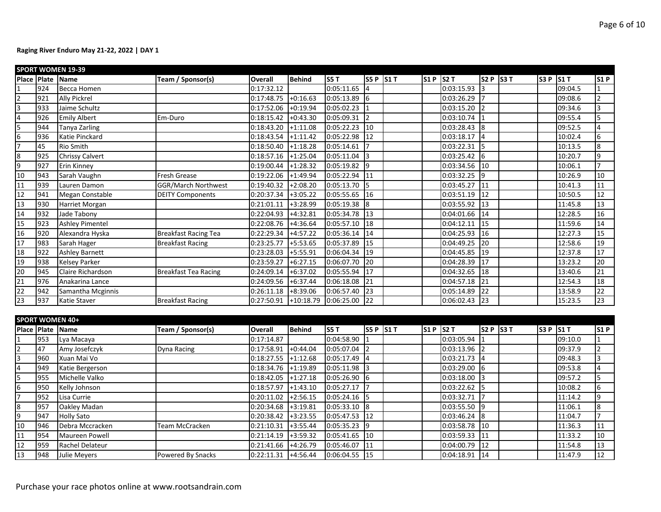|                                                                                     |     | <b>SPORT WOMEN 19-39</b> |                             |                       |               |               |                 |               |            |                 |           |         |                  |
|-------------------------------------------------------------------------------------|-----|--------------------------|-----------------------------|-----------------------|---------------|---------------|-----------------|---------------|------------|-----------------|-----------|---------|------------------|
| Place                                                                               |     | Plate Name               | Team / Sponsor(s)           | <b>Overall</b>        | <b>Behind</b> | S5T           | S5 P S1 T       | $51P$ S2 T    |            | S2 P S3 T       | S3P       | S1T     | <b>S1P</b>       |
| $\overline{1}$                                                                      | 924 | Becca Homen              |                             | 0:17:32.12            |               | 0:05:11.65    |                 |               | 0:03:15.93 | l3              |           | 09:04.5 |                  |
|                                                                                     | 921 | <b>Ally Pickrel</b>      |                             | 0:17:48.75            | $+0:16.63$    | 0:05:13.89    | l6              |               | 0:03:26.29 | 17              |           | 09:08.6 | $\overline{2}$   |
|                                                                                     | 933 | Jaime Schultz            |                             | 0:17:52.06            | $+0:19.94$    | 0:05:02.23    |                 |               | 0:03:15.20 | l2              |           | 09:34.6 | 3                |
|                                                                                     | 926 | <b>Emily Albert</b>      | Em-Duro                     | 0:18:15.42            | $+0:43.30$    | 0:05:09.31    | $\overline{2}$  |               | 0:03:10.74 | I1              |           | 09:55.4 | 5                |
|                                                                                     | 944 | Tanya Zarling            |                             | 0:18:43.20            | $+1:11.08$    | 0:05:22.23    | 10              |               | 0:03:28.43 | 8               |           | 09:52.5 | 4                |
| $\frac{2}{3}$ $\frac{3}{4}$ $\frac{4}{5}$ $\frac{6}{7}$                             | 936 | Katie Pinckard           |                             | 0:18:43.54            | $+1:11.42$    | 0:05:22.98    | 12              |               | 0:03:18.17 | $\vert$ 4       |           | 10:02.4 | $6\phantom{.}6$  |
|                                                                                     | 45  | <b>Rio Smith</b>         |                             | 0:18:50.40            | $+1:18.28$    | 0:05:14.61    |                 |               | 0:03:22.31 | 15              |           | 10:13.5 | $\bf 8$          |
|                                                                                     | 925 | <b>Chrissy Calvert</b>   |                             | 0:18:57.16            | $+1:25.04$    | 0:05:11.04    | ς               |               | 0:03:25.42 | 6               |           | 10:20.7 | 9                |
| $\begin{array}{c c}\n\hline\n8 \\ \hline\n9 \\ \hline\n10\n\end{array}$             | 927 | Erin Kinney              |                             | 0:19:00.44            | $+1:28.32$    | 0:05:19.82    | 9               |               | 0:03:34.56 | 10              |           | 10:06.1 | $\overline{7}$   |
|                                                                                     | 943 | Sarah Vaughn             | <b>Fresh Grease</b>         | 0:19:22.06            | $+1:49.94$    | 0:05:22.94    | 11              |               | 0:03:32.25 | 19              |           | 10:26.9 | 10               |
| $\frac{11}{12}$                                                                     | 939 | Lauren Damon             | <b>GGR/March Northwest</b>  | 0:19:40.32            | $+2:08.20$    | 0:05:13.70    | 5               |               | 0:03:45.27 | $\overline{11}$ |           | 10:41.3 | 11               |
|                                                                                     | 941 | Megan Constable          | <b>DEITY Components</b>     | 0:20:37.34            | $+3:05.22$    | 0:05:55.65    | 16              |               | 0:03:51.19 | 12              |           | 10:50.5 | 12               |
| $\overline{13}$                                                                     | 930 | Harriet Morgan           |                             | 0:21:01.11            | $+3:28.99$    | 0:05:19.38    | 8               |               | 0:03:55.92 | 13              |           | 11:45.8 | $13$             |
| $\frac{14}{15}$                                                                     | 932 | Jade Tabony              |                             | 0:22:04.93            | $+4:32.81$    | 0:05:34.78    | 13              |               | 0:04:01.66 | 14              |           | 12:28.5 | 16               |
|                                                                                     | 923 | <b>Ashley Pimentel</b>   |                             | 0:22:08.76            | $+4:36.64$    | 0:05:57.10    | 18              |               | 0:04:12.11 | 15              |           | 11:59.6 | 14               |
| 16                                                                                  | 920 | Alexandra Hyska          | <b>Breakfast Racing Tea</b> | 0:22:29.34            | $+4:57.22$    | 0:05:36.14    | 14              |               | 0:04:25.93 | $\overline{16}$ |           | 12:27.3 | 15               |
| 17                                                                                  | 983 | Sarah Hager              | <b>Breakfast Racing</b>     | 0:23:25.77            | $+5:53.65$    | 0:05:37.89    | 15              |               | 0:04:49.25 | 20              |           | 12:58.6 | 19               |
| 18                                                                                  | 922 | <b>Ashley Barnett</b>    |                             | 0:23:28.03            | $+5:55.91$    | 0:06:04.34    | 19              |               | 0:04:45.85 | 19              |           | 12:37.8 | 17               |
| $\overline{19}$                                                                     | 938 | <b>Kelsey Parker</b>     |                             | 0:23:59.27            | $+6:27.15$    | 0:06:07.70    | 20              |               | 0:04:28.39 | 17              |           | 13:23.2 | 20               |
| $\begin{array}{r} \n \overline{20} \\  21 \\  22\n \end{array}$                     | 945 | Claire Richardson        | <b>Breakfast Tea Racing</b> | 0:24:09.14            | $+6:37.02$    | 0:05:55.94    | 17              |               | 0:04:32.65 | 18              |           | 13:40.6 | 21               |
|                                                                                     | 976 | Anakarina Lance          |                             | 0:24:09.56            | $+6:37.44$    | 0:06:18.08    | $\overline{21}$ |               | 0:04:57.18 | 21              |           | 12:54.3 | 18               |
|                                                                                     | 942 | Samantha Mcginnis        |                             | 0:26:11.18            | $+8:39.06$    | 0:06:57.40    | 23              |               | 0:05:14.89 | 22              |           | 13:58.9 | $\overline{22}$  |
| $\overline{23}$                                                                     | 937 | <b>Katie Staver</b>      | <b>Breakfast Racing</b>     | 0:27:50.91            | $+10:18.79$   | 0:06:25.00    | $\overline{22}$ |               | 0:06:02.43 | 23              |           | 15:23.5 | 23               |
|                                                                                     |     |                          |                             |                       |               |               |                 |               |            |                 |           |         |                  |
|                                                                                     |     | <b>SPORT WOMEN 40+</b>   |                             |                       |               |               |                 |               |            |                 |           |         |                  |
|                                                                                     |     | Place Plate Name         | Team / Sponsor(s)           | <b>Overall</b>        | <b>Behind</b> | <b>S5T</b>    | S5 P S1 T       | $SI$ P $SI$ T |            | $S2 P$ S3 T     | S3 P S1 T |         | S1P              |
|                                                                                     | 953 | Lya Macaya               |                             | 0:17:14.87            |               | 0:04:58.90    |                 |               | 0:03:05.94 | I1              |           | 09:10.0 |                  |
|                                                                                     | 47  | Amy Josefczyk            | Dyna Racing                 | 0:17:58.91            | $+0:44.04$    | 0:05:07.04    |                 |               | 0:03:13.96 | I2              |           | 09:37.9 | $\overline{2}$   |
|                                                                                     | 960 | Xuan Mai Vo              |                             | 0:18:27.55            | $+1:12.68$    | 0:05:17.49    |                 |               | 0:03:21.73 | $\vert$ 4       |           | 09:48.3 | 3                |
|                                                                                     | 949 | Katie Bergerson          |                             | 0:18:34.76            | $+1:19.89$    | 0:05:11.98    |                 |               | 0:03:29.00 | 6               |           | 09:53.8 | 4                |
|                                                                                     | 955 | Michelle Valko           |                             | 0:18:42.05            | $+1:27.18$    | 0:05:26.90    | 6               |               | 0:03:18.00 | l3              |           | 09:57.2 | 5                |
|                                                                                     | 950 | Kelly Johnson            |                             | 0:18:57.97            | $+1:43.10$    | 0:05:27.17    |                 |               | 0:03:22.62 | I5              |           | 10:08.2 | $\boldsymbol{6}$ |
|                                                                                     | 952 | Lisa Currie              |                             | 0:20:11.02            | $+2:56.15$    | 0:05:24.16    |                 |               | 0:03:32.71 | I7              |           | 11:14.2 | 9                |
| $\frac{1}{2}$ $\frac{2}{3}$ $\frac{4}{5}$ $\frac{5}{6}$ $\frac{7}{7}$ $\frac{8}{9}$ | 957 | Oakley Madan             |                             | 0:20:34.68            | $+3:19.81$    | 0:05:33.10    | 8               |               | 0:03:55.50 | l9              |           | 11:06.1 | $\boldsymbol{8}$ |
|                                                                                     | 947 | <b>Holly Sato</b>        |                             | 0:20:38.42            | $+3:23.55$    | 0:05:47.53    | $\overline{12}$ |               | 0:03:46.24 | l8              |           | 11:04.7 | $\overline{7}$   |
| 10                                                                                  | 946 | Debra Mccracken          | Team McCracken              | 0:21:10.31            | $+3:55.44$    | 0:05:35.23    | 9               |               | 0:03:58.78 | 10              |           | 11:36.3 | 11               |
| $\overline{11}$                                                                     | 954 | Maureen Powell           |                             | 0:21:14.19            | $+3:59.32$    | 0:05:41.65    | 10              |               | 0:03:59.33 | 11              |           | 11:33.2 | 10               |
| $\frac{12}{13}$                                                                     | 959 | Rachel Delateur          |                             | 0:21:41.66            | $+4:26.79$    | 0:05:46.07    | 11              |               | 0:04:00.79 | 12              |           | 11:54.8 | 13               |
|                                                                                     | 948 | Julie Meyers             | Powered By Snacks           | $0:22:11.31$ +4:56.44 |               | 0:06:04.55 15 |                 |               | 0:04:18.91 | 14              |           | 11:47.9 | 12               |

Purchase your race photos online at www.rootsandrain.com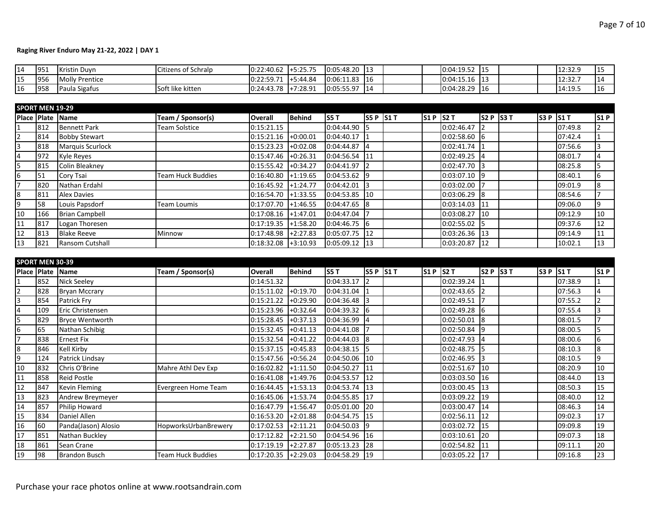| 14 | 951 | <b>Kristin Duvn</b>   | Citizens of Schralp | 0:22:40.62 | $+5.25.75$<br>9.23.73 | 0:05:48.20 | -113 |  | 0:04:19.52 | 115 |  | ם רכירו<br>12.32.9   |  |
|----|-----|-----------------------|---------------------|------------|-----------------------|------------|------|--|------------|-----|--|----------------------|--|
| 15 | 956 | <b>Molly Prentice</b> |                     | 0:22:59.71 | $+5:44.84$            | 0:06:11.83 | 116  |  | 0:04:15.16 | 113 |  | $12.22 -$<br>12.JZ.J |  |
| 16 | 958 | Paula Sigafus         | Soft like kitten    | 0:24:43.78 | $+7:28.91$            | 0:05:55.97 | 14   |  | 0:04:28.29 | 16  |  | 14:19.5              |  |

|    | <b>SPORT MEN 19-29</b> |                         |                   |                |               |                 |                  |            |                   |             |                   |         |     |
|----|------------------------|-------------------------|-------------------|----------------|---------------|-----------------|------------------|------------|-------------------|-------------|-------------------|---------|-----|
|    |                        | Place Plate Name        | Team / Sponsor(s) | <b>Overall</b> | <b>Behind</b> | IS5 T           | <b>S5 P S1 T</b> | $S1P$ S2 T |                   | $S2 P$ S3 T | $ $ S3 P $ $ S1 T |         | S1P |
|    | 812                    | <b>Bennett Park</b>     | Team Solstice     | 0:15:21.15     |               | 0:04:44.90      | 15               |            | 0:02:46.47        |             |                   | 07:49.8 |     |
|    | 814                    | <b>Bobby Stewart</b>    |                   | 0:15:21.16     | $+0:00.01$    | 0:04:40.17      |                  |            | 0:02:58.60        | -16         |                   | 07:42.4 |     |
|    | 818                    | <b>Marquis Scurlock</b> |                   | 0:15:23.23     | $+0:02.08$    | 0:04:44.87      | 14               |            | $0:02:41.74$ 1    |             |                   | 07:56.6 |     |
|    | 972                    | Kyle Reyes              |                   | 0:15:47.46     | $+0:26.31$    | $0:04:56.54$ 11 |                  |            | $0:02:49.25$ 4    |             |                   | 08:01.7 |     |
|    | 815                    | <b>Colin Bleakney</b>   |                   | 0:15:55.42     | $+0:34.27$    | 0:04:41.97      |                  |            | 0:02:47.70 3      |             |                   | 08:25.8 |     |
| 6  | 51                     | Cory Tsai               | Team Huck Buddies | 0:16:40.80     | $+1:19.65$    | 0:04:53.62      | 19               |            | $0:03:07.10$ 9    |             |                   | 08:40.1 | 16  |
|    | 820                    | Nathan Erdahl           |                   | 0:16:45.92     | $+1:24.77$    | 0:04:42.01      | I3               |            | $0:03:02.00$  7   |             |                   | 09:01.9 | 8   |
| 8  | 811                    | <b>Alex Davies</b>      |                   | 0:16:54.70     | $+1:33.55$    | 0:04:53.85      | 110              |            | $0:03:06.29$ 8    |             |                   | 08:54.6 |     |
| q  | 58                     | Louis Papsdorf          | Team Loumis       | 0:17:07.70     | $+1:46.55$    | 0:04:47.65      | l8               |            | $0:03:14.03$ 11   |             |                   | 09:06.0 | 9   |
| 10 | 166                    | <b>Brian Campbell</b>   |                   | 0:17:08.16     | $+1:47.01$    | 0:04:47.04      |                  |            | 0:03:08.27        | 110         |                   | 09:12.9 | 10  |
| 11 | 817                    | Logan Thoresen          |                   | 0:17:19.35     | $+1:58.20$    | $0:04:46.75$ 6  |                  |            | $0:02:55.02$ 5    |             |                   | 09:37.6 | 12  |
| 12 | 813                    | <b>Blake Reeve</b>      | Minnow            | 0:17:48.98     | $+2:27.83$    | $0:05:07.75$ 12 |                  |            | $0:03:26.36$ 13   |             |                   | 09:14.9 | 11  |
| 13 | 821                    | Ransom Cutshall         |                   | 0:18:32.08     | $+3:10.93$    | $0:05:09.12$ 13 |                  |            | $0:03:20.87$   12 |             |                   | 10:02.1 | 13  |

|                | <b>SPORT MEN 30-39</b> |                        |                      |                       |            |             |           |            |                |                 |           |         |          |
|----------------|------------------------|------------------------|----------------------|-----------------------|------------|-------------|-----------|------------|----------------|-----------------|-----------|---------|----------|
| Place Plate    |                        | Name                   | Team / Sponsor(s)    | <b>Overall</b>        | Behind     | <b>S5 T</b> | S5 P S1 T | $S1P$ S2 T |                | S2 P S3 T       | S3 P S1 T |         | S1P      |
|                | 852                    | Nick Seeley            |                      | 0:14:51.32            |            | 0:04:33.17  |           |            | 0:02:39.24     |                 |           | 07:38.9 |          |
|                | 828                    | <b>Bryan Mccrary</b>   |                      | 0:15:11.02            | +0:19.70   | 0:04:31.04  |           |            | 0:02:43.65     | $\overline{2}$  |           | 07:56.3 | $\Delta$ |
| 3              | 854                    | Patrick Fry            |                      | 0:15:21.22            | $+0.29.90$ | 0:04:36.48  |           |            | 0:02:49.51     |                 |           | 07:55.2 |          |
| $\overline{4}$ | 109                    | Eric Christensen       |                      | 0:15:23.96            | $+0:32.64$ | 0:04:39.32  | 16        |            | 0:02:49.28     | $\sqrt{6}$      |           | 07:55.4 |          |
| 5              | 829                    | <b>Bryce Wentworth</b> |                      | 0:15:28.45            | +0:37.13   | 0:04:36.99  |           |            | 0:02:50.01     | <sup>8</sup>    |           | 08:01.5 |          |
| 6              | 65                     | Nathan Schibig         |                      | 0:15:32.45            | $+0:41.13$ | 0:04:41.08  |           |            | 0:02:50.84     | I9              |           | 08:00.5 |          |
| $\overline{7}$ | 838                    | <b>Ernest Fix</b>      |                      | 0:15:32.54            | $+0:41.22$ | 0:04:44.03  | <b>8</b>  |            | 0:02:47.93     | $\overline{14}$ |           | 08:00.6 | 6        |
| 8              | 846                    | Kell Kirby             |                      | 0:15:37.15            | $+0:45.83$ | 0:04:38.15  |           |            | 0:02:48.75     | -15             |           | 08:10.3 | 8        |
| 9              | 124                    | Patrick Lindsay        |                      | 0:15:47.56            | $+0:56.24$ | 0:04:50.06  | 10        |            | $0:02:46.95$ 3 |                 |           | 08:10.5 | 9        |
| 10             | 832                    | Chris O'Brine          | Mahre Athl Dev Exp   | 0:16:02.82            | $+1:11.50$ | 0:04:50.27  | 111       |            | 0:02:51.67     | 110             |           | 08:20.9 | 10       |
| <sup>11</sup>  | 858                    | <b>Reid Postle</b>     |                      | 0:16:41.08            | $+1:49.76$ | 0:04:53.57  | 12        |            | 0:03:03.50     | 16              |           | 08:44.0 | 13       |
| 12             | 847                    | <b>Kevin Fleming</b>   | Evergreen Home Team  | 0:16:44.45            | $+1:53.13$ | 0:04:53.74  | 13        |            | 0:03:00.45     | 13              |           | 08:50.3 | 15       |
| 13             | 823                    | Andrew Breymeyer       |                      | 0:16:45.06            | $+1:53.74$ | 0:04:55.85  | 17        |            | 0:03:09.22     | 119             |           | 08:40.0 | 12       |
| 14             | 857                    | Philip Howard          |                      | 0:16:47.79            | $+1:56.47$ | 0:05:01.00  | 20        |            | 0:03:00.47     | 14              |           | 08:46.3 | 14       |
| 15             | 834                    | Daniel Allen           |                      | 0:16:53.20            | $+2:01.88$ | 0:04:54.75  | 15        |            | 0:02:56.11     | 12              |           | 09:02.3 | 17       |
| 16             | 60                     | Panda(Jason) Alosio    | HopworksUrbanBrewery | 0:17:02.53            | $+2:11.21$ | 0:04:50.03  | 19        |            | 0:03:02.72     | 115             |           | 09:09.8 | 19       |
| 17             | 851                    | Nathan Buckley         |                      | 0:17:12.82            | +2:21.50   | 0:04:54.96  | 16        |            | 0:03:10.61     | 120             |           | 09:07.3 | 18       |
| 18             | 861                    | Sean Crane             |                      | 0:17:19.19            | $+2:27.87$ | 0:05:13.23  | <b>28</b> |            | 0:02:54.82     | 111             |           | 09:11.1 | 20       |
| 19             | 98                     | <b>Brandon Busch</b>   | Team Huck Buddies    | $0:17:20.35$ +2:29.03 |            | 0:04:58.29  | 119       |            | 0:03:05.22 17  |                 |           | 09:16.8 | 23       |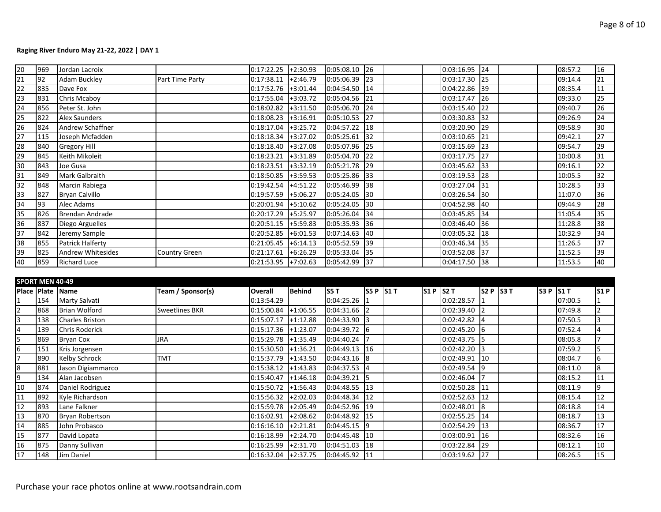| 20              | 969 | Jordan Lacroix         |                 | 0:17:22.25            | $+2:30.93$ | $0:05:08.10$ 26 |                 | 0:03:16.95 24   |            |  | 08:57.2 | 16              |
|-----------------|-----|------------------------|-----------------|-----------------------|------------|-----------------|-----------------|-----------------|------------|--|---------|-----------------|
| $\overline{21}$ | 92  | <b>Adam Buckley</b>    | Part Time Party | 0:17:38.11            | $+2:46.79$ | 0:05:06.39      | 123             | 0:03:17.30 25   |            |  | 09:14.4 | 21              |
| 22              | 835 | Dave Fox               |                 | 0:17:52.76            | $+3:01.44$ | 0:04:54.50 14   |                 | 0:04:22.86 39   |            |  | 08:35.4 | 11              |
| 23              | 831 | Chris Mcaboy           |                 | 0:17:55.04            | $+3:03.72$ | 0:05:04.56      | 21              | 0:03:17.47 26   |            |  | 09:33.0 | 25              |
| 24              | 856 | Peter St. John         |                 | 0:18:02.82            | $+3:11.50$ | 0:05:06.70      | 24              | 0:03:15.40      | 22         |  | 09:40.7 | 26              |
| 25              | 822 | <b>Alex Saunders</b>   |                 | 0:18:08.23            | $+3:16.91$ | 0:05:10.53      | 127             | 0:03:30.83      | 132        |  | 09:26.9 | 24              |
| 26              | 824 | Andrew Schaffner       |                 | 0:18:17.04            | $+3:25.72$ | 0:04:57.22      | <sup>18</sup>   | 0:03:20.90      | 29         |  | 09:58.9 | 30              |
| 27              | 115 | Joseph Mcfadden        |                 | $0:18:18.34$ +3:27.02 |            | 0:05:25.61      | 132             | 0:03:10.65      | 121        |  | 09:42.1 | 27              |
| 28              | 840 | <b>Gregory Hill</b>    |                 | 0:18:18.40            | $+3:27.08$ | 0:05:07.96 25   |                 | $0:03:15.69$ 23 |            |  | 09:54.7 | 29              |
| 29              | 845 | Keith Mikoleit         |                 | 0:18:23.21            | $+3:31.89$ | 0:05:04.70 22   |                 | 0:03:17.75 27   |            |  | 10:00.8 | 31              |
| $\overline{30}$ | 843 | Joe Gusa               |                 | 0:18:23.51            | $+3:32.19$ | 0:05:21.78 29   |                 | 0:03:45.62 33   |            |  | 09:16.1 | $\overline{22}$ |
| 31              | 849 | Mark Galbraith         |                 | $0:18:50.85$ +3:59.53 |            | $0:05:25.86$ 33 |                 | 0:03:19.53      | 128        |  | 10:05.5 | 32              |
| 32              | 848 | Marcin Rabiega         |                 | 0:19:42.54            | $+4:51.22$ | 0:05:46.99      | $\overline{38}$ | 0:03:27.04      | 131        |  | 10:28.5 | 33              |
| 33              | 827 | Bryan Calvillo         |                 | 0:19:57.59            | $+5:06.27$ | 0:05:24.05      | 30 <sup>°</sup> | 0:03:26.54      | $\vert$ 30 |  | 11:07.0 | 36              |
| 34              | 93  | Alec Adams             |                 | 0:20:01.94            | $+5:10.62$ | 0:05:24.05      | 130             | 0:04:52.98      | 40         |  | 09:44.9 | 28              |
| 35              | 826 | <b>Brendan Andrade</b> |                 | $0:20:17.29$ +5:25.97 |            | 0:05:26.04      | 34              | 0:03:45.85      | 34         |  | 11:05.4 | 35              |
| 36              | 837 | Diego Arguelles        |                 | $0:20:51.15$ +5:59.83 |            | 0:05:35.93      | 136             | 0:03:46.40 36   |            |  | 11:28.8 | 38              |
| 37              | 842 | Jeremy Sample          |                 | 0:20:52.85            | $+6:01.53$ | 0:07:14.63      | 140             | 0:03:05.32 18   |            |  | 10:32.9 | 34              |
| 38              | 855 | Patrick Halferty       |                 | 0:21:05.45            | $+6:14.13$ | 0:05:52.59      | 39              | 0:03:46.34      | 135        |  | 11:26.5 | 37              |
| 39              | 825 | Andrew Whitesides      | Country Green   | 0:21:17.61            | $+6:26.29$ | 0:05:33.04      | 35              | 0:03:52.08      | 37         |  | 11:52.5 | 39              |
| 40              | 859 | <b>Richard Luce</b>    |                 | $0:21:53.95$ +7:02.63 |            | 0:05:42.99 37   |                 | 0:04:17.50 38   |            |  | 11:53.5 | 40              |

|    | <b>SPORT MEN 40-49</b> |                        |                       |                       |               |                   |               |            |            |           |           |         |     |
|----|------------------------|------------------------|-----------------------|-----------------------|---------------|-------------------|---------------|------------|------------|-----------|-----------|---------|-----|
|    | Place Plate Name       |                        | Team / Sponsor(s)     | Overall               | <b>Behind</b> | <b>S5 T</b>       | S5 P S1 T     | $SIP$ S2 T |            | S2 P S3 T | S3 P S1 T |         | S1P |
|    | 154                    | Marty Salvati          |                       | 0:13:54.29            |               | 0:04:25.26        |               |            | 0:02:28.57 |           |           | 07:00.5 |     |
|    | 868                    | <b>Brian Wolford</b>   | <b>Sweetlines BKR</b> | 0:15:00.84            | $+1:06.55$    | 0:04:31.66        | $\mathsf{I}2$ |            | 0:02:39.40 |           |           | 07:49.8 |     |
|    | 138                    | <b>Charles Briston</b> |                       | 0:15:07.17            | $+1:12.88$    | 0:04:33.90        | -13           |            | 0:02:42.82 | 14        |           | 07:50.5 |     |
|    | 139                    | <b>Chris Roderick</b>  |                       | 0:15:17.36            | $+1:23.07$    | 0:04:39.72        | 16            |            | 0:02:45.20 | 16        |           | 07:52.4 |     |
|    | 869                    | <b>Bryan Cox</b>       | <b>JRA</b>            | 0:15:29.78            | $+1:35.49$    | 0:04:40.24        |               |            | 0:02:43.75 | I5        |           | 08:05.8 |     |
| 6  | 151                    | Kris Jorgensen         |                       | 0:15:30.50            | $+1:36.21$    | $0:04:49.13$ 16   |               |            | 0:02:42.20 | l3        |           | 07:59.2 |     |
|    | 890                    | <b>Kelby Schrock</b>   | <b>TMT</b>            | $0:15:37.79$ +1:43.50 |               | $0:04:43.16$ 8    |               |            | 0:02:49.91 | 110       |           | 08:04.7 | 6   |
| 8  | 881                    | Jason Digiammarco      |                       | 0:15:38.12            | $+1:43.83$    | 0:04:37.53        |               |            | 0:02:49.54 | 19        |           | 08:11.0 | 8   |
| 9  | 134                    | Alan Jacobsen          |                       | 0:15:40.47            | $+1:46.18$    | 0:04:39.21        |               |            | 0:02:46.04 |           |           | 08:15.2 | 11  |
| 10 | 874                    | Daniel Rodriguez       |                       | 0:15:50.72            | $+1:56.43$    | 0:04:48.55 13     |               |            | 0:02:50.28 | 111       |           | 08:11.9 | ٩   |
| 11 | 892                    | Kyle Richardson        |                       | 0:15:56.32            | $+2:02.03$    | $0:04:48.34$   12 |               |            | 0:02:52.63 | 12        |           | 08:15.4 | 12  |
| 12 | 893                    | Lane Falkner           |                       | 0:15:59.78            | $+2:05.49$    | $0:04:52.96$ 19   |               |            | 0:02:48.01 | l8        |           | 08:18.8 | 14  |
| 13 | 870                    | Bryan Robertson        |                       | 0:16:02.91            | $+2:08.62$    | $0:04:48.92$ 15   |               |            | 0:02:55.25 | 14        |           | 08:18.7 | 13  |
| 14 | 885                    | John Probasco          |                       | 0:16:16.10            | $+2:21.81$    | $0:04:45.15$ 9    |               |            | 0:02:54.29 | 13        |           | 08:36.7 | 17  |
| 15 | 877                    | David Lopata           |                       | 0:16:18.99            | $+2:24.70$    | $0:04:45.48$ 10   |               |            | 0:03:00.91 | 116       |           | 08:32.6 | 16  |
| 16 | 875                    | Danny Sullivan         |                       | 0:16:25.99            | $+2:31.70$    | 0:04:51.03        | 18            |            | 0:03:22.84 | 129       |           | 08:12.1 | 10  |
| 17 | 148                    | Jim Daniel             |                       | 0:16:32.04            | $+2:37.75$    | $0:04:45.92$ 11   |               |            | 0:03:19.62 | 127       |           | 08:26.5 | 15  |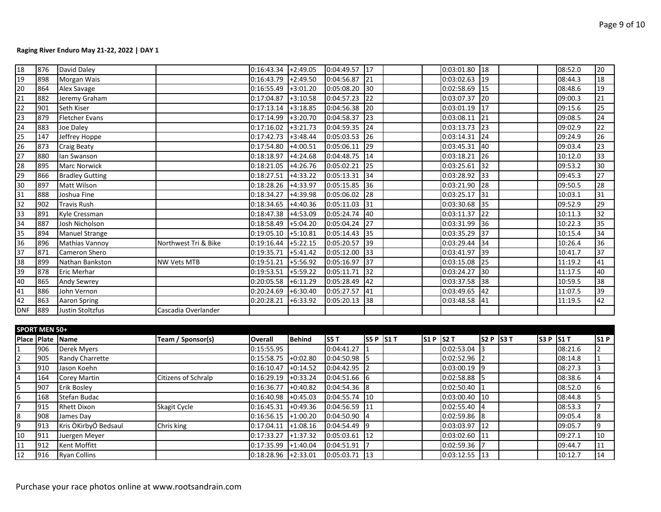| 18                                                                               | 876           | David Daley            |                      | $0:16:43.34$ +2:49.05 |               | 0:04:49.57 17   |                 |             | $0:03:01.80$ 18 |                 |           | 08:52.0 | 20              |
|----------------------------------------------------------------------------------|---------------|------------------------|----------------------|-----------------------|---------------|-----------------|-----------------|-------------|-----------------|-----------------|-----------|---------|-----------------|
| 19                                                                               | 898           | Morgan Wais            |                      | 0:16:43.79            | $+2:49.50$    | 0:04:56.87      | 21              |             | 0:03:02.63      | 19              |           | 08:44.3 | 18              |
| $\overline{20}$                                                                  | 864           | Alex Savage            |                      | 0:16:55.49            | $+3:01.20$    | 0:05:08.20      | 30              |             | 0:02:58.69      | 15              |           | 08:48.6 | 19              |
|                                                                                  | 882           | Jeremy Graham          |                      | 0:17:04.87            | $+3:10.58$    | 0:04:57.23      | 22              |             | 0:03:07.37      | 20              |           | 09:00.3 | 21              |
|                                                                                  | 901           | Seth Kiser             |                      | 0:17:13.14            | $+3:18.85$    | 0:04:56.38      | 20              |             | 0:03:01.19      | $\overline{17}$ |           | 09:15.6 | $\overline{25}$ |
| $\begin{array}{c}\n\overline{21} \\ \overline{22} \\ \overline{23}\n\end{array}$ | 879           | <b>Fletcher Evans</b>  |                      | 0:17:14.99            | $+3:20.70$    | 0:04:58.37      | 23              |             | 0:03:08.11      | $\overline{21}$ |           | 09:08.5 | 24              |
|                                                                                  | 883           | Joe Daley              |                      | 0:17:16.02            | $+3:21.73$    | 0:04:59.35      | 24              |             | 0:03:13.73      | $\overline{23}$ |           | 09:02.9 | 22              |
| $\frac{24}{25}$                                                                  | 147           | Jeffrey Hoppe          |                      | 0:17:42.73            | $+3:48.44$    | 0:05:03.53      | 26              |             | 0:03:14.31      | $\overline{24}$ |           | 09:24.9 | $\overline{26}$ |
| $\begin{array}{r} 26 \\ 27 \\ 28 \end{array}$                                    | 873           | <b>Craig Beaty</b>     |                      | 0:17:54.80            | $+4:00.51$    | 0:05:06.11      | 29              |             | 0:03:45.31      | 40              |           | 09:03.4 | $\overline{23}$ |
|                                                                                  | 880           | lan Swanson            |                      | 0:18:18.97            | $+4:24.68$    | 0:04:48.75      | $\overline{14}$ |             | 0:03:18.21      | 26              |           | 10:12.0 | 33              |
|                                                                                  | 895           | <b>Marc Norwick</b>    |                      | 0:18:21.05            | $+4:26.76$    | 0:05:02.21      | 25              |             | 0:03:25.61      | 32              |           | 09:53.2 | $\overline{30}$ |
| 29                                                                               | 866           | <b>Bradley Gutting</b> |                      | 0:18:27.51            | $+4:33.22$    | 0:05:13.31      | 34              |             | 0:03:28.92      | 33              |           | 09:45.3 | $\overline{27}$ |
| $\begin{array}{r} 30 \\ 31 \\ 32 \end{array}$                                    | 897           | <b>Matt Wilson</b>     |                      | 0:18:28.26            | $+4:33.97$    | 0:05:15.85      | 36              |             | 0:03:21.90      | 28              |           | 09:50.5 | $\overline{28}$ |
|                                                                                  | 888           | Joshua Fine            |                      | 0:18:34.27            | +4:39.98      | 0:05:06.02      | 28              |             | 0:03:25.17      | 31              |           | 10:03.1 | $\overline{31}$ |
|                                                                                  | 902           | <b>Travis Rush</b>     |                      | 0:18:34.65            | $+4:40.36$    | 0:05:11.03      | $\overline{31}$ |             | 0:03:30.68      | $\overline{35}$ |           | 09:52.9 | 29              |
|                                                                                  | 891           | Kyle Cressman          |                      | 0:18:47.38            | $+4:53.09$    | 0:05:24.74      | 40              |             | 0:03:11.37      | 22              |           | 10:11.3 | $\overline{32}$ |
|                                                                                  | 887           | Josh Nicholson         |                      | 0:18:58.49            | $+5:04.20$    | 0:05:04.24      | 27              |             | 0:03:31.99      | 36              |           | 10:22.3 | 35              |
|                                                                                  | 894           | <b>Manuel Strange</b>  |                      | 0:19:05.10            | $+5:10.81$    | 0:05:14.43      | $\overline{35}$ |             | 0:03:35.29      | 37              |           | 10:15.4 | $\overline{34}$ |
|                                                                                  | 896           | <b>Mathias Vannoy</b>  | Northwest Tri & Bike | 0:19:16.44            | $+5:22.15$    | 0:05:20.57      | 39              |             | 0:03:29.44      | $\overline{34}$ |           | 10:26.4 | $\overline{36}$ |
|                                                                                  | 871           | Cameron Shero          |                      | 0:19:35.71            | $+5:41.42$    | 0:05:12.00      | 33              |             | 0:03:41.97      | $\overline{39}$ |           | 10:41.7 | $\overline{37}$ |
| 33<br>34<br>35<br>36<br>37<br>38<br>39                                           | 899           | Nathan Bankston        | <b>NW Vets MTB</b>   | 0:19:51.21            | $+5:56.92$    | 0:05:16.97      | $\overline{37}$ |             | 0:03:15.08      | 25              |           | 11:19.2 | 41              |
|                                                                                  | 878           | <b>Eric Merhar</b>     |                      | 0:19:53.51            | $+5:59.22$    | 0:05:11.71      | 32              |             | 0:03:24.27      | l30             |           | 11:17.5 | 40              |
| 40                                                                               | 865           | Andy Sewrey            |                      | 0:20:05.58            | $+6:11.29$    | 0:05:28.49      | $\overline{42}$ |             | 0:03:37.58      | 38              |           | 10:59.5 | 38              |
| $\frac{41}{42}$                                                                  | 886           | John Vernon            |                      | 0:20:24.69            | $+6:30.40$    | 0:05:27.57      | 41              |             | 0:03:49.65      | $\overline{42}$ |           | 11:07.5 | 39              |
|                                                                                  | 863           | <b>Aaron Spring</b>    |                      | 0:20:28.21            | $+6:33.92$    | 0:05:20.13      | $\overline{38}$ |             | 0:03:48.58      | 41              |           | 11:19.5 | 42              |
| <b>DNF</b>                                                                       | 889           | Justin Stoltzfus       | Cascadia Overlander  |                       |               |                 |                 |             |                 |                 |           |         |                 |
|                                                                                  |               |                        |                      |                       |               |                 |                 |             |                 |                 |           |         |                 |
|                                                                                  | SPORT MEN 50+ |                        |                      |                       |               |                 |                 |             |                 |                 |           |         |                 |
|                                                                                  |               | Place Plate Name       | Team / Sponsor(s)    | <b>Overall</b>        | <b>Behind</b> | <b>S5T</b>      | $S5P$ S1T       | $SI P$ S2 T |                 | $S2 P$ S3 T     | $S3P$ S1T |         | S1P             |
|                                                                                  | 906           | Derek Myers            |                      | 0:15:55.95            |               | 0:04:41.27      |                 |             | 0:02:53.04      | I3              |           | 08:21.6 | $\overline{2}$  |
|                                                                                  | 905           | Randy Charrette        |                      | 0:15:58.75            | $+0:02.80$    | 0:04:50.98      |                 |             | 0:02:52.96      | 2               |           | 08:14.8 | 1               |
|                                                                                  | 910           | Jason Koehn            |                      | 0:16:10.47            | $+0:14.52$    | 0:04:42.95      |                 |             | 0:03:00.19      | l9              |           | 08:27.3 | 3               |
| $\frac{1}{2}$ $\frac{2}{3}$ $\frac{4}{5}$ $\frac{5}{6}$ $\frac{6}{7}$            | 164           | <b>Corey Martin</b>    | Citizens of Schralp  | 0:16:29.19            | $+0:33.24$    | 0:04:51.66      | l6              |             | 0:02:58.88      | l5              |           | 08:38.6 | 4               |
|                                                                                  | 907           | <b>Erik Bosley</b>     |                      | 0:16:36.77            | $+0:40.82$    | 0:04:54.36      | l8              |             | 0:02:50.40      | I1              |           | 08:52.0 | 6               |
|                                                                                  | 168           | <b>Stefan Budac</b>    |                      | 0:16:40.98            | $+0:45.03$    | 0:04:55.74      | $\vert$ 10      |             | 0:03:00.40      | 110             |           | 08:44.8 | 5               |
|                                                                                  | 915           | <b>Rhett Dixon</b>     | Skagit Cycle         | 0:16:45.31            | $+0:49.36$    | 0:04:56.59      | 11              |             | 0:02:55.40      | l4              |           | 08:53.3 | $\overline{7}$  |
| $\begin{array}{c}\n\phantom{0}8 \\ \phantom{0}9 \\ \phantom{0}10\n\end{array}$   | 908           | James Day              |                      | 0:16:56.15            | $+1:00.20$    | 0:04:50.90      | $\overline{4}$  |             | 0:02:59.86      | 8               |           | 09:05.4 | 8               |
|                                                                                  | 913           | Kris ÒKirbyÓ Bedsaul   | Chris king           | 0:17:04.11            | $+1:08.16$    | 0:04:54.49      | l9              |             | 0:03:03.97      | $\overline{12}$ |           | 09:05.7 | 9               |
|                                                                                  | 911           | Juergen Meyer          |                      | 0:17:33.27            | $+1:37.32$    | 0:05:03.61      | 12              |             | 0:03:02.60      | 11              |           | 09:27.1 | $\overline{10}$ |
| 11                                                                               | 912           | Kent Moffitt           |                      | 0:17:35.99            | $+1:40.04$    | 0:04:51.91      |                 |             | 0:02:59.36      | 17              |           | 09:44.7 | 11              |
| 12                                                                               | 916           | <b>Ryan Collins</b>    |                      | $0:18:28.96$ +2:33.01 |               | $0:05:03.71$ 13 |                 |             | $0:03:12.55$ 13 |                 |           | 10:12.7 | 14              |